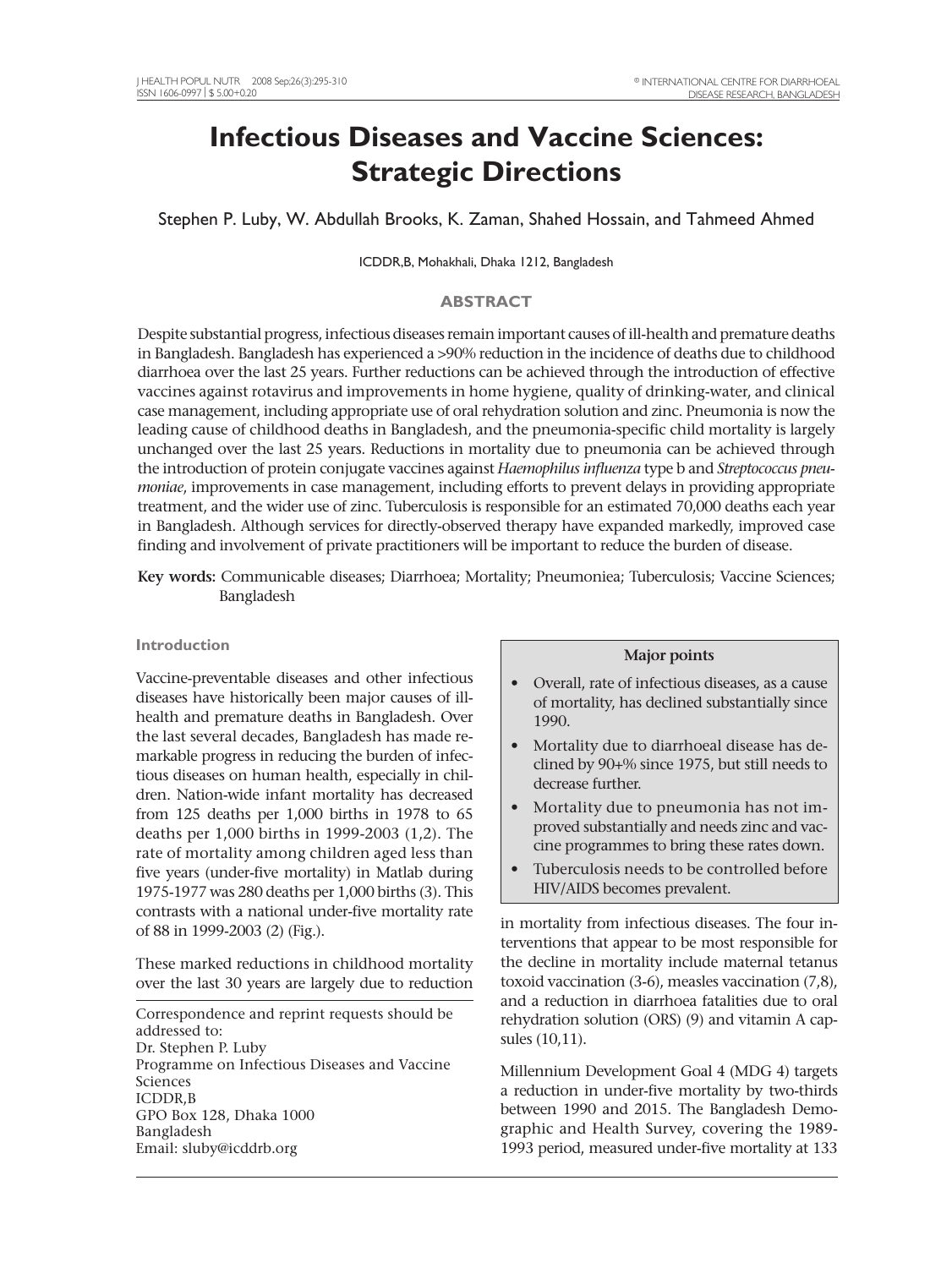# **Infectious Diseases and Vaccine Sciences: Strategic Directions**

Stephen P. Luby, W. Abdullah Brooks, K. Zaman, Shahed Hossain, and Tahmeed Ahmed

ICDDR,B, Mohakhali, Dhaka 1212, Bangladesh

## **ABSTRACT**

Despite substantial progress, infectious diseases remain important causes of ill-health and premature deaths in Bangladesh. Bangladesh has experienced a >90% reduction in the incidence of deaths due to childhood diarrhoea over the last 25 years. Further reductions can be achieved through the introduction of effective vaccines against rotavirus and improvements in home hygiene, quality of drinking-water, and clinical case management, including appropriate use of oral rehydration solution and zinc. Pneumonia is now the leading cause of childhood deaths in Bangladesh, and the pneumonia-specific child mortality is largely unchanged over the last 25 years. Reductions in mortality due to pneumonia can be achieved through the introduction of protein conjugate vaccines against *Haemophilus influenza* type b and *Streptococcus pneumoniae*, improvements in case management, including efforts to prevent delays in providing appropriate treatment, and the wider use of zinc. Tuberculosis is responsible for an estimated 70,000 deaths each year in Bangladesh. Although services for directly-observed therapy have expanded markedly, improved case finding and involvement of private practitioners will be important to reduce the burden of disease.

**Key words:** Communicable diseases; Diarrhoea; Mortality; Pneumoniea; Tuberculosis; Vaccine Sciences; Bangladesh

#### **Introduction**

Vaccine-preventable diseases and other infectious diseases have historically been major causes of illhealth and premature deaths in Bangladesh. Over the last several decades, Bangladesh has made remarkable progress in reducing the burden of infectious diseases on human health, especially in children. Nation-wide infant mortality has decreased from 125 deaths per 1,000 births in 1978 to 65 deaths per 1,000 births in 1999-2003 (1,2). The rate of mortality among children aged less than five years (under-five mortality) in Matlab during 1975-1977 was 280 deaths per 1,000 births (3). This contrasts with a national under-five mortality rate of 88 in 1999-2003 (2) (Fig.).

These marked reductions in childhood mortality over the last 30 years are largely due to reduction

Correspondence and reprint requests should be addressed to: Dr. Stephen P. Luby Programme on Infectious Diseases and Vaccine Sciences ICDDR,B GPO Box 128, Dhaka 1000 Bangladesh Email: sluby@icddrb.org

#### **Major points**

- • Overall, rate of infectious diseases, as a cause of mortality, has declined substantially since 1990.
- Mortality due to diarrhoeal disease has declined by 90+% since 1975, but still needs to decrease further.
- Mortality due to pneumonia has not improved substantially and needs zinc and vaccine programmes to bring these rates down.
- Tuberculosis needs to be controlled before HIV/AIDS becomes prevalent.

in mortality from infectious diseases. The four interventions that appear to be most responsible for the decline in mortality include maternal tetanus toxoid vaccination (3-6), measles vaccination (7,8), and a reduction in diarrhoea fatalities due to oral rehydration solution (ORS) (9) and vitamin A capsules (10,11).

Millennium Development Goal 4 (MDG 4) targets a reduction in under-five mortality by two-thirds between 1990 and 2015. The Bangladesh Demographic and Health Survey, covering the 1989- 1993 period, measured under-five mortality at 133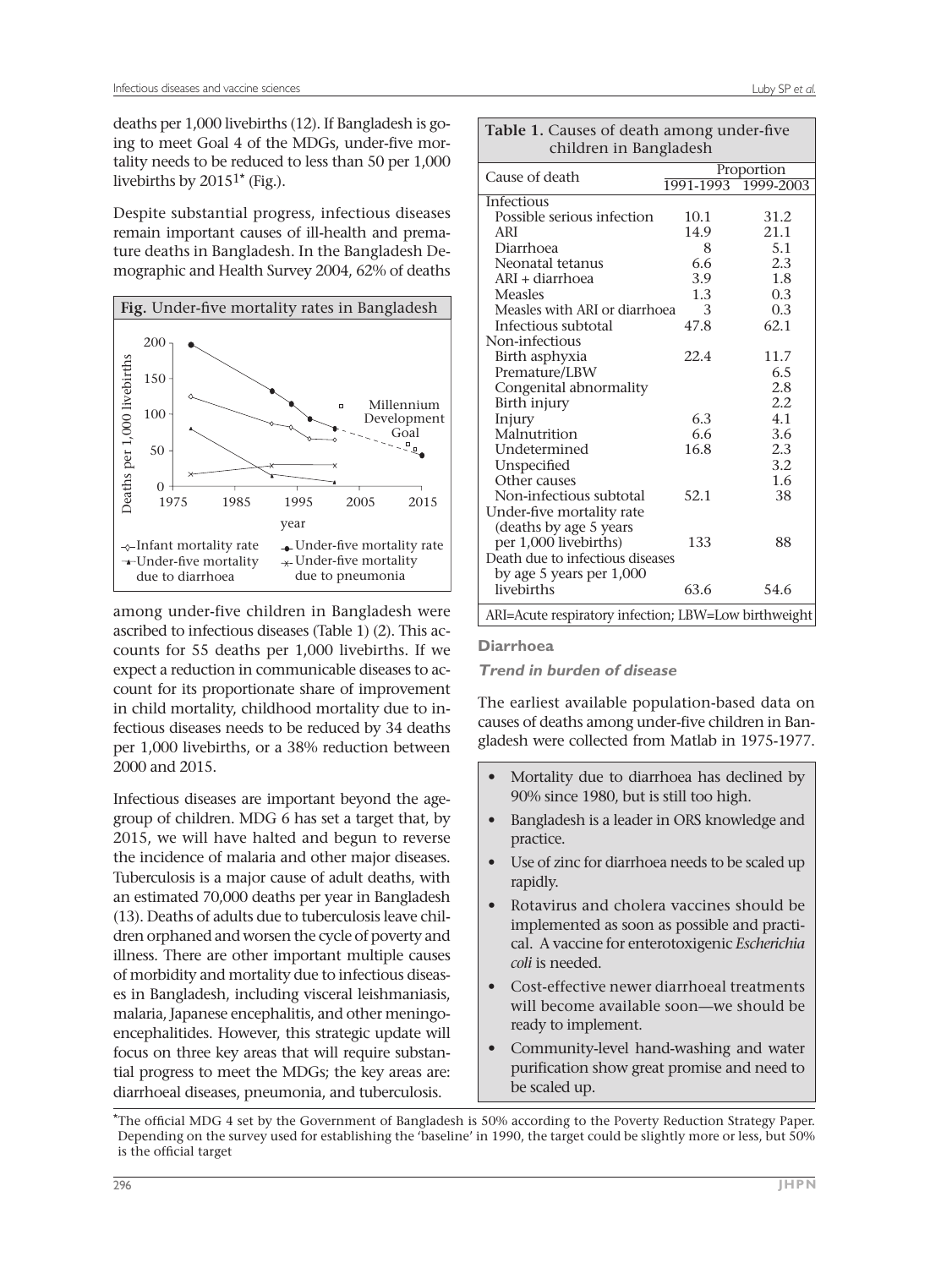deaths per 1,000 livebirths (12). If Bangladesh is going to meet Goal 4 of the MDGs, under-five mortality needs to be reduced to less than 50 per 1,000 livebirths by  $2015<sup>1</sup>$  (Fig.).

Despite substantial progress, infectious diseases remain important causes of ill-health and premature deaths in Bangladesh. In the Bangladesh Demographic and Health Survey 2004, 62% of deaths



among under-five children in Bangladesh were ascribed to infectious diseases (Table 1) (2). This accounts for 55 deaths per 1,000 livebirths. If we expect a reduction in communicable diseases to account for its proportionate share of improvement in child mortality, childhood mortality due to infectious diseases needs to be reduced by 34 deaths per 1,000 livebirths, or a 38% reduction between 2000 and 2015.

Infectious diseases are important beyond the agegroup of children. MDG 6 has set a target that, by 2015, we will have halted and begun to reverse the incidence of malaria and other major diseases. Tuberculosis is a major cause of adult deaths, with an estimated 70,000 deaths per year in Bangladesh (13). Deaths of adults due to tuberculosis leave children orphaned and worsen the cycle of poverty and illness. There are other important multiple causes of morbidity and mortality due to infectious diseases in Bangladesh, including visceral leishmaniasis, malaria, Japanese encephalitis, and other meningoencephalitides. However, this strategic update will focus on three key areas that will require substantial progress to meet the MDGs; the key areas are: diarrhoeal diseases, pneumonia, and tuberculosis.

| Table 1. Causes of death among under-five            |            |           |  |  |
|------------------------------------------------------|------------|-----------|--|--|
| children in Bangladesh                               |            |           |  |  |
|                                                      | Proportion |           |  |  |
| Cause of death                                       | 1991-1993  | 1999-2003 |  |  |
| Infectious                                           |            |           |  |  |
| Possible serious infection                           | 10.1       | 31.2      |  |  |
| ARI                                                  | 14.9       | 21.1      |  |  |
| Diarrhoea                                            | 8          | 5.1       |  |  |
| Neonatal tetanus                                     | 6.6        | 2.3       |  |  |
| ARI + diarrhoea                                      | 3.9        | 1.8       |  |  |
| Measles                                              | 1.3        | 0.3       |  |  |
| Measles with ARI or diarrhoea                        | 3          | 0.3       |  |  |
| Infectious subtotal                                  | 47.8       | 62.1      |  |  |
| Non-infectious                                       |            |           |  |  |
| Birth asphyxia                                       | 22.4       | 11.7      |  |  |
| Premature/LBW                                        |            | 6.5       |  |  |
| Congenital abnormality                               |            | 2.8       |  |  |
| Birth injury                                         |            | 2.2       |  |  |
| Injury                                               | 6.3        | 4.1       |  |  |
| Malnutrition                                         | 6.6        | 3.6       |  |  |
| Undetermined                                         | 16.8       | 2.3       |  |  |
| Unspecified                                          |            | 3.2       |  |  |
| Other causes                                         |            | 1.6       |  |  |
| Non-infectious subtotal                              | 52.1       | 38        |  |  |
| Under-five mortality rate                            |            |           |  |  |
| (deaths by age 5 years                               |            |           |  |  |
| per 1,000 livebirths)                                | 133        | 88        |  |  |
| Death due to infectious diseases                     |            |           |  |  |
| by age 5 years per 1,000                             |            |           |  |  |
| livebirths                                           | 63.6       | 54.6      |  |  |
| ARI=Acute respiratory infection; LBW=Low birthweight |            |           |  |  |

#### **Diarrhoea**

#### **Trend in burden of disease**

The earliest available population-based data on causes of deaths among under-five children in Bangladesh were collected from Matlab in 1975-1977.

- Mortality due to diarrhoea has declined by 90% since 1980, but is still too high.
- • Bangladesh is a leader in ORS knowledge and practice.
- Use of zinc for diarrhoea needs to be scaled up rapidly.
- • Rotavirus and cholera vaccines should be implemented as soon as possible and practical. A vaccine for enterotoxigenic *Escherichia coli* is needed.
- • Cost-effective newer diarrhoeal treatments will become available soon—we should be ready to implement.
- Community-level hand-washing and water purification show great promise and need to be scaled up.

\*The official MDG 4 set by the Government of Bangladesh is 50% according to the Poverty Reduction Strategy Paper. Depending on the survey used for establishing the 'baseline' in 1990, the target could be slightly more or less, but 50% is the official target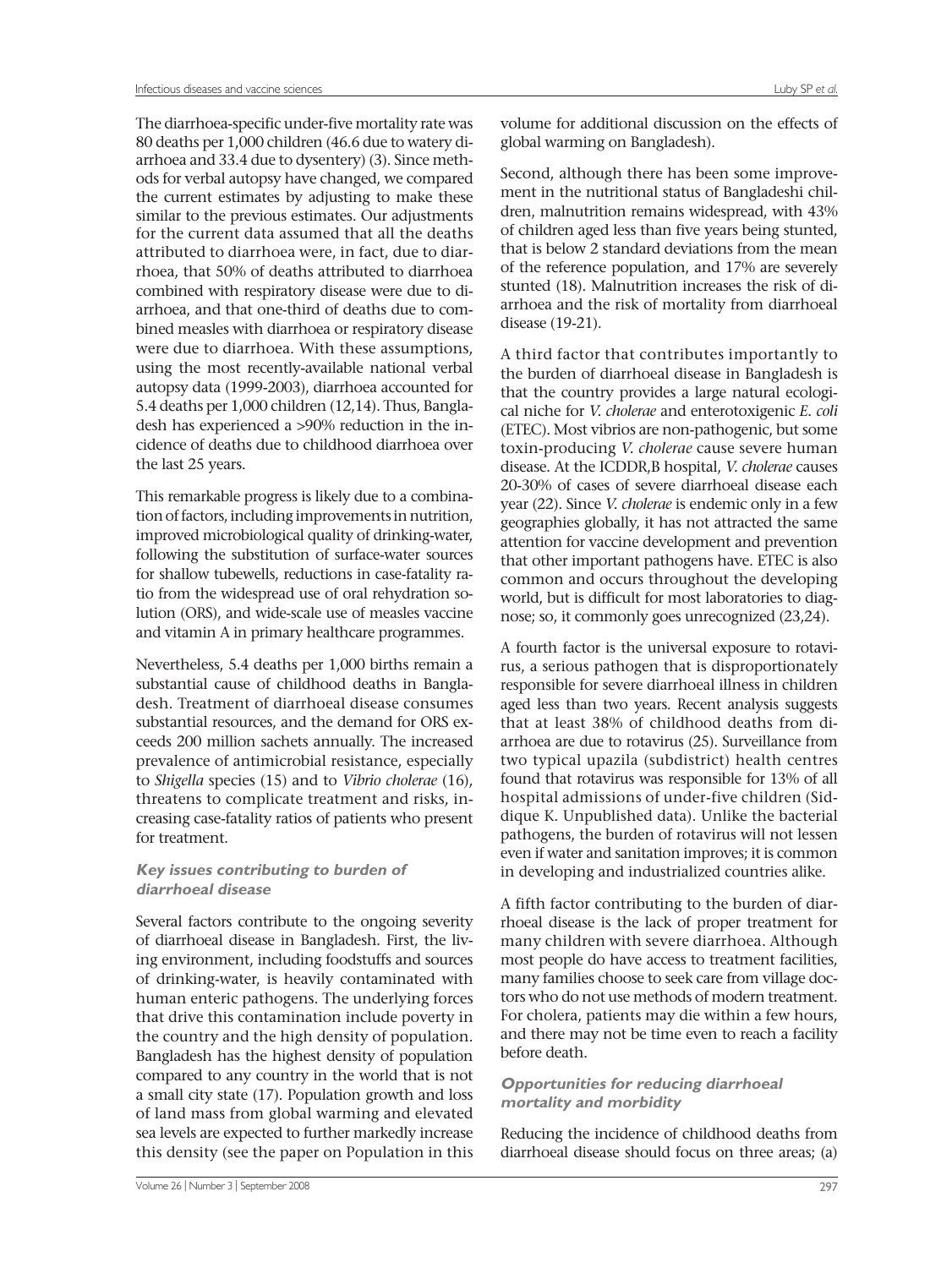The diarrhoea-specific under-five mortality rate was 80 deaths per 1,000 children (46.6 due to watery diarrhoea and 33.4 due to dysentery) (3). Since methods for verbal autopsy have changed, we compared the current estimates by adjusting to make these similar to the previous estimates. Our adjustments for the current data assumed that all the deaths attributed to diarrhoea were, in fact, due to diarrhoea, that 50% of deaths attributed to diarrhoea combined with respiratory disease were due to diarrhoea, and that one-third of deaths due to combined measles with diarrhoea or respiratory disease were due to diarrhoea. With these assumptions, using the most recently-available national verbal autopsy data (1999-2003), diarrhoea accounted for 5.4 deaths per 1,000 children (12,14). Thus, Bangladesh has experienced a >90% reduction in the incidence of deaths due to childhood diarrhoea over the last 25 years.

This remarkable progress is likely due to a combination of factors, including improvements in nutrition, improved microbiological quality of drinking-water, following the substitution of surface-water sources for shallow tubewells, reductions in case-fatality ratio from the widespread use of oral rehydration solution (ORS), and wide-scale use of measles vaccine and vitamin A in primary healthcare programmes.

Nevertheless, 5.4 deaths per 1,000 births remain a substantial cause of childhood deaths in Bangladesh. Treatment of diarrhoeal disease consumes substantial resources, and the demand for ORS exceeds 200 million sachets annually. The increased prevalence of antimicrobial resistance, especially to *Shigella* species (15) and to *Vibrio cholerae* (16), threatens to complicate treatment and risks, increasing case-fatality ratios of patients who present for treatment.

# **Key issues contributing to burden of diarrhoeal disease**

Several factors contribute to the ongoing severity of diarrhoeal disease in Bangladesh. First, the living environment, including foodstuffs and sources of drinking-water, is heavily contaminated with human enteric pathogens. The underlying forces that drive this contamination include poverty in the country and the high density of population. Bangladesh has the highest density of population compared to any country in the world that is not a small city state (17). Population growth and loss of land mass from global warming and elevated sea levels are expected to further markedly increase this density (see the paper on Population in this

volume for additional discussion on the effects of global warming on Bangladesh).

Second, although there has been some improvement in the nutritional status of Bangladeshi children, malnutrition remains widespread, with 43% of children aged less than five years being stunted, that is below 2 standard deviations from the mean of the reference population, and 17% are severely stunted (18). Malnutrition increases the risk of diarrhoea and the risk of mortality from diarrhoeal disease (19-21).

A third factor that contributes importantly to the burden of diarrhoeal disease in Bangladesh is that the country provides a large natural ecological niche for *V. cholerae* and enterotoxigenic *E. coli*  (ETEC)*.* Most vibrios are non-pathogenic, but some toxin-producing *V. cholerae* cause severe human disease. At the ICDDR,B hospital, *V. cholerae* causes 20-30% of cases of severe diarrhoeal disease each year (22). Since *V. cholerae* is endemic only in a few geographies globally, it has not attracted the same attention for vaccine development and prevention that other important pathogens have. ETEC is also common and occurs throughout the developing world, but is difficult for most laboratories to diagnose; so, it commonly goes unrecognized (23,24).

A fourth factor is the universal exposure to rotavirus, a serious pathogen that is disproportionately responsible for severe diarrhoeal illness in children aged less than two years. Recent analysis suggests that at least 38% of childhood deaths from diarrhoea are due to rotavirus (25). Surveillance from two typical upazila (subdistrict) health centres found that rotavirus was responsible for 13% of all hospital admissions of under-five children (Siddique K. Unpublished data). Unlike the bacterial pathogens, the burden of rotavirus will not lessen even if water and sanitation improves; it is common in developing and industrialized countries alike.

A fifth factor contributing to the burden of diarrhoeal disease is the lack of proper treatment for many children with severe diarrhoea. Although most people do have access to treatment facilities, many families choose to seek care from village doctors who do not use methods of modern treatment. For cholera, patients may die within a few hours, and there may not be time even to reach a facility before death.

# **Opportunities for reducing diarrhoeal mortality and morbidity**

Reducing the incidence of childhood deaths from diarrhoeal disease should focus on three areas; (a)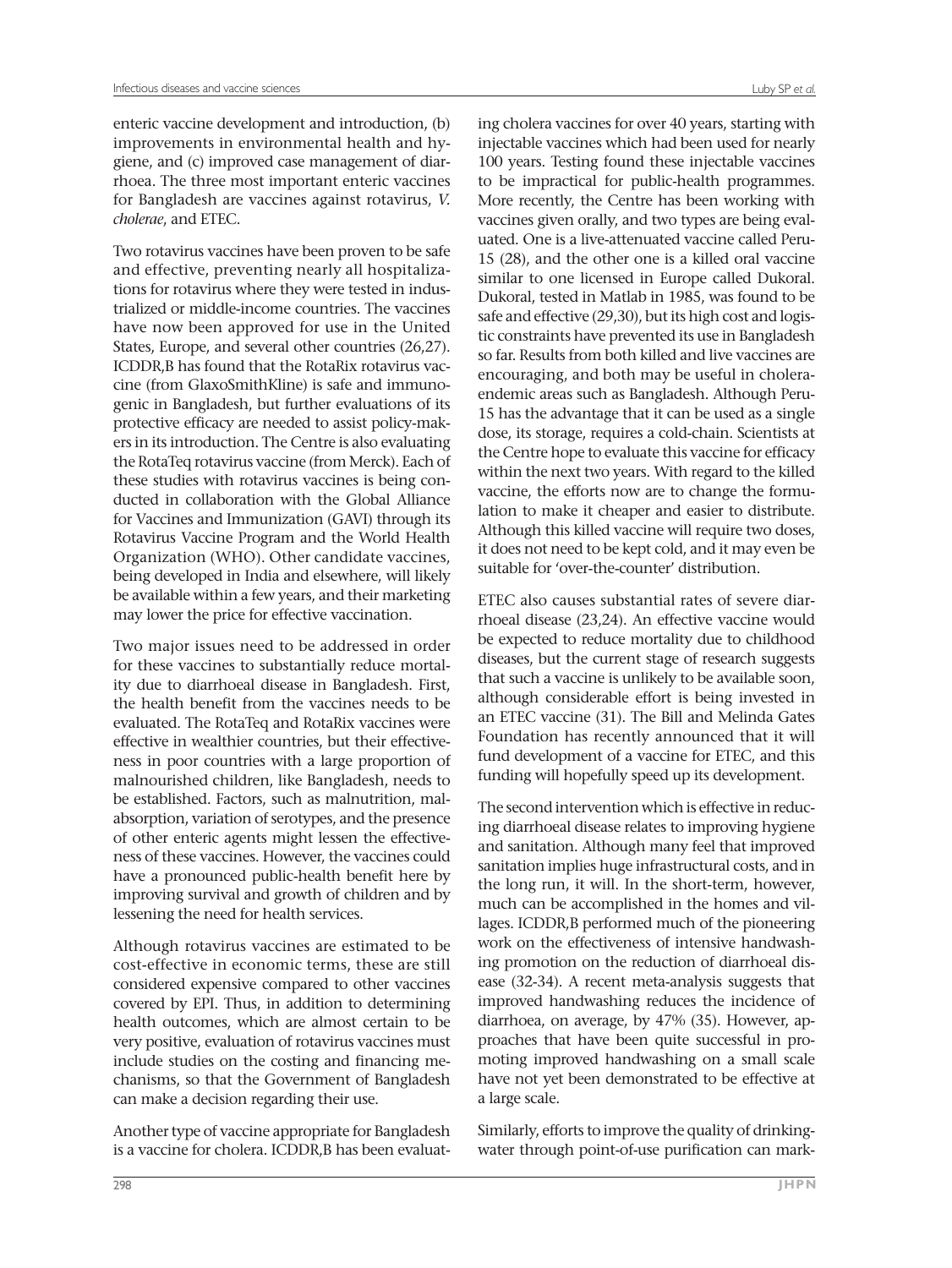enteric vaccine development and introduction, (b) improvements in environmental health and hygiene, and (c) improved case management of diarrhoea. The three most important enteric vaccines for Bangladesh are vaccines against rotavirus, *V. cholerae*, and ETEC.

Two rotavirus vaccines have been proven to be safe and effective, preventing nearly all hospitalizations for rotavirus where they were tested in industrialized or middle-income countries. The vaccines have now been approved for use in the United States, Europe, and several other countries (26,27). ICDDR,B has found that the RotaRix rotavirus vaccine (from GlaxoSmithKline) is safe and immunogenic in Bangladesh, but further evaluations of its protective efficacy are needed to assist policy-makers in its introduction. The Centre is also evaluating the RotaTeq rotavirus vaccine (from Merck). Each of these studies with rotavirus vaccines is being conducted in collaboration with the Global Alliance for Vaccines and Immunization (GAVI) through its Rotavirus Vaccine Program and the World Health Organization (WHO). Other candidate vaccines, being developed in India and elsewhere, will likely be available within a few years, and their marketing may lower the price for effective vaccination.

Two major issues need to be addressed in order for these vaccines to substantially reduce mortality due to diarrhoeal disease in Bangladesh. First, the health benefit from the vaccines needs to be evaluated. The RotaTeq and RotaRix vaccines were effective in wealthier countries, but their effectiveness in poor countries with a large proportion of malnourished children, like Bangladesh, needs to be established. Factors, such as malnutrition, malabsorption, variation of serotypes, and the presence of other enteric agents might lessen the effectiveness of these vaccines. However, the vaccines could have a pronounced public-health benefit here by improving survival and growth of children and by lessening the need for health services.

Although rotavirus vaccines are estimated to be cost-effective in economic terms, these are still considered expensive compared to other vaccines covered by EPI. Thus, in addition to determining health outcomes, which are almost certain to be very positive, evaluation of rotavirus vaccines must include studies on the costing and financing mechanisms, so that the Government of Bangladesh can make a decision regarding their use.

Another type of vaccine appropriate for Bangladesh is a vaccine for cholera. ICDDR,B has been evaluat-

ing cholera vaccines for over 40 years, starting with injectable vaccines which had been used for nearly 100 years. Testing found these injectable vaccines to be impractical for public-health programmes. More recently, the Centre has been working with vaccines given orally, and two types are being evaluated. One is a live-attenuated vaccine called Peru-15 (28), and the other one is a killed oral vaccine similar to one licensed in Europe called Dukoral. Dukoral, tested in Matlab in 1985, was found to be safe and effective (29,30), but its high cost and logistic constraints have prevented its use in Bangladesh so far. Results from both killed and live vaccines are encouraging, and both may be useful in choleraendemic areas such as Bangladesh. Although Peru-15 has the advantage that it can be used as a single dose, its storage, requires a cold-chain. Scientists at the Centre hope to evaluate this vaccine for efficacy within the next two years. With regard to the killed vaccine, the efforts now are to change the formulation to make it cheaper and easier to distribute. Although this killed vaccine will require two doses, it does not need to be kept cold, and it may even be suitable for 'over-the-counter' distribution.

ETEC also causes substantial rates of severe diarrhoeal disease (23,24). An effective vaccine would be expected to reduce mortality due to childhood diseases, but the current stage of research suggests that such a vaccine is unlikely to be available soon, although considerable effort is being invested in an ETEC vaccine (31). The Bill and Melinda Gates Foundation has recently announced that it will fund development of a vaccine for ETEC, and this funding will hopefully speed up its development.

The second intervention which is effective in reducing diarrhoeal disease relates to improving hygiene and sanitation. Although many feel that improved sanitation implies huge infrastructural costs, and in the long run, it will. In the short-term, however, much can be accomplished in the homes and villages. ICDDR,B performed much of the pioneering work on the effectiveness of intensive handwashing promotion on the reduction of diarrhoeal disease (32-34). A recent meta-analysis suggests that improved handwashing reduces the incidence of diarrhoea, on average, by 47% (35). However, approaches that have been quite successful in promoting improved handwashing on a small scale have not yet been demonstrated to be effective at a large scale.

Similarly, efforts to improve the quality of drinkingwater through point-of-use purification can mark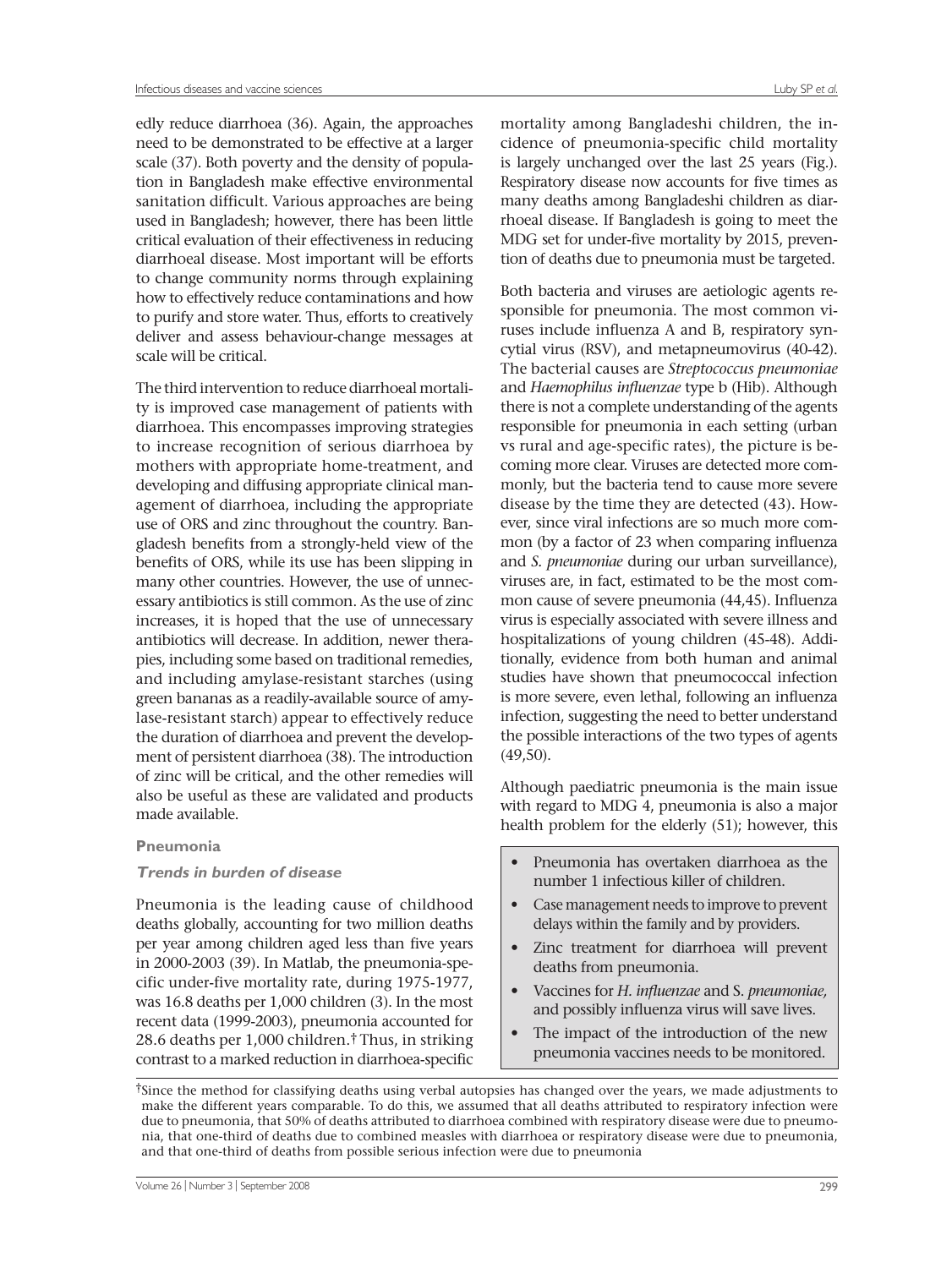edly reduce diarrhoea (36). Again, the approaches need to be demonstrated to be effective at a larger scale (37). Both poverty and the density of population in Bangladesh make effective environmental sanitation difficult. Various approaches are being used in Bangladesh; however, there has been little critical evaluation of their effectiveness in reducing diarrhoeal disease. Most important will be efforts to change community norms through explaining how to effectively reduce contaminations and how to purify and store water. Thus, efforts to creatively deliver and assess behaviour-change messages at scale will be critical.

The third intervention to reduce diarrhoeal mortality is improved case management of patients with diarrhoea. This encompasses improving strategies to increase recognition of serious diarrhoea by mothers with appropriate home-treatment, and developing and diffusing appropriate clinical management of diarrhoea, including the appropriate use of ORS and zinc throughout the country. Bangladesh benefits from a strongly-held view of the benefits of ORS, while its use has been slipping in many other countries. However, the use of unnecessary antibiotics is still common. As the use of zinc increases, it is hoped that the use of unnecessary antibiotics will decrease. In addition, newer therapies, including some based on traditional remedies, and including amylase-resistant starches (using green bananas as a readily-available source of amylase-resistant starch) appear to effectively reduce the duration of diarrhoea and prevent the development of persistent diarrhoea (38). The introduction of zinc will be critical, and the other remedies will also be useful as these are validated and products made available.

# **Pneumonia**

# **Trends in burden of disease**

Pneumonia is the leading cause of childhood deaths globally, accounting for two million deaths per year among children aged less than five years in 2000-2003 (39). In Matlab, the pneumonia-specific under-five mortality rate, during 1975-1977, was 16.8 deaths per 1,000 children (3). In the most recent data (1999-2003), pneumonia accounted for 28.6 deaths per 1,000 children.† Thus, in striking contrast to a marked reduction in diarrhoea-specific mortality among Bangladeshi children, the incidence of pneumonia-specific child mortality is largely unchanged over the last 25 years (Fig.). Respiratory disease now accounts for five times as many deaths among Bangladeshi children as diarrhoeal disease. If Bangladesh is going to meet the MDG set for under-five mortality by 2015, prevention of deaths due to pneumonia must be targeted.

Both bacteria and viruses are aetiologic agents responsible for pneumonia. The most common viruses include influenza A and B, respiratory syncytial virus (RSV), and metapneumovirus (40-42). The bacterial causes are *Streptococcus pneumoniae* and *Haemophilus influenzae* type b (Hib). Although there is not a complete understanding of the agents responsible for pneumonia in each setting (urban vs rural and age-specific rates), the picture is becoming more clear. Viruses are detected more commonly, but the bacteria tend to cause more severe disease by the time they are detected (43). However, since viral infections are so much more common (by a factor of 23 when comparing influenza and *S. pneumoniae* during our urban surveillance), viruses are, in fact, estimated to be the most common cause of severe pneumonia (44,45). Influenza virus is especially associated with severe illness and hospitalizations of young children (45-48). Additionally, evidence from both human and animal studies have shown that pneumococcal infection is more severe, even lethal, following an influenza infection, suggesting the need to better understand the possible interactions of the two types of agents (49,50).

Although paediatric pneumonia is the main issue with regard to MDG 4, pneumonia is also a major health problem for the elderly (51); however, this

- Pneumonia has overtaken diarrhoea as the number 1 infectious killer of children.
- Case management needs to improve to prevent delays within the family and by providers.
- • Zinc treatment for diarrhoea will prevent deaths from pneumonia.
- • Vaccines for *H. influenzae* and S. *pneumoniae,* and possibly influenza virus will save lives.
- The impact of the introduction of the new pneumonia vaccines needs to be monitored.

†Since the method for classifying deaths using verbal autopsies has changed over the years, we made adjustments to make the different years comparable. To do this, we assumed that all deaths attributed to respiratory infection were due to pneumonia, that 50% of deaths attributed to diarrhoea combined with respiratory disease were due to pneumonia, that one-third of deaths due to combined measles with diarrhoea or respiratory disease were due to pneumonia, and that one-third of deaths from possible serious infection were due to pneumonia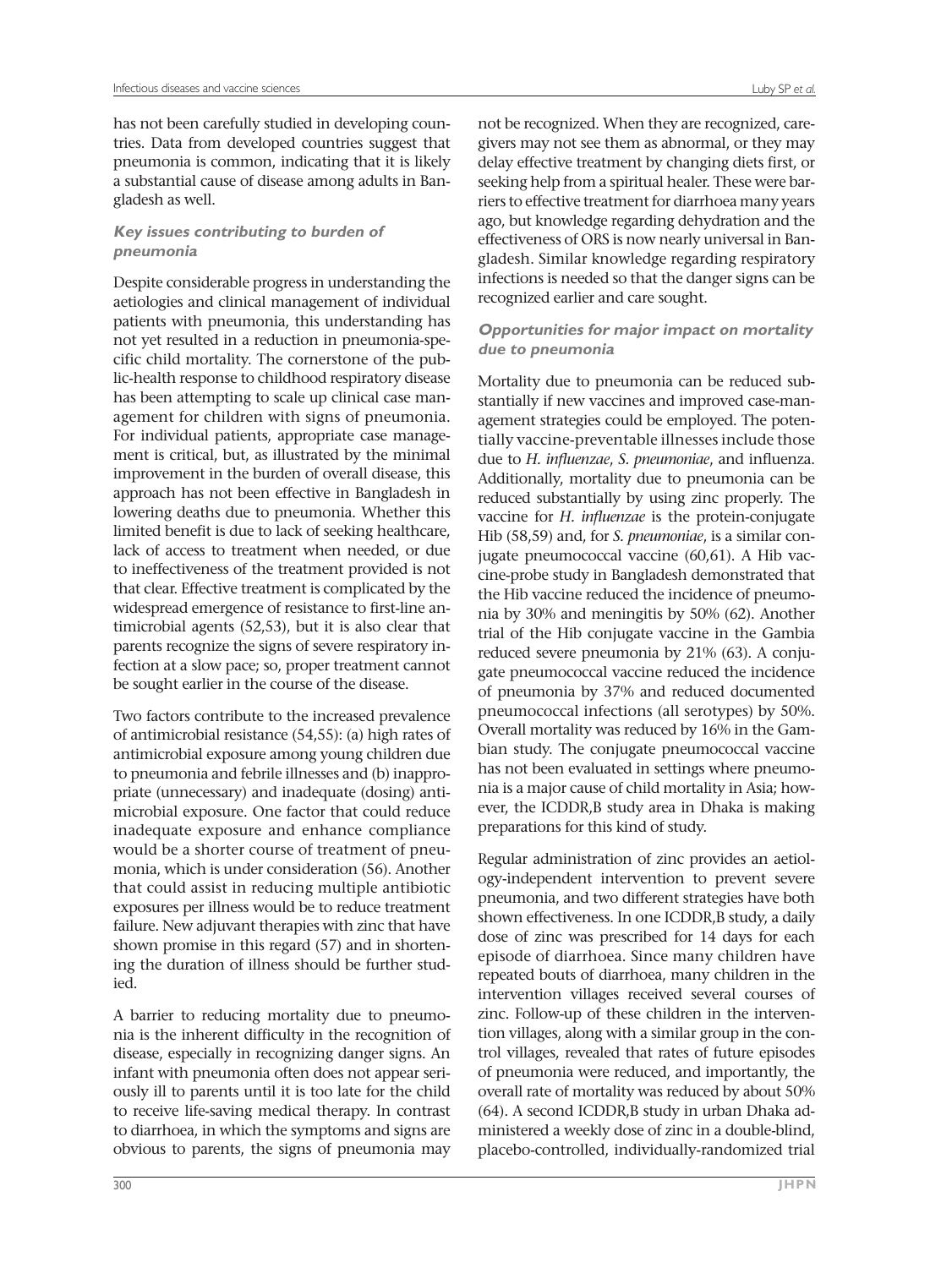has not been carefully studied in developing countries. Data from developed countries suggest that pneumonia is common, indicating that it is likely a substantial cause of disease among adults in Bangladesh as well.

# **Key issues contributing to burden of pneumonia**

Despite considerable progress in understanding the aetiologies and clinical management of individual patients with pneumonia, this understanding has not yet resulted in a reduction in pneumonia-specific child mortality. The cornerstone of the public-health response to childhood respiratory disease has been attempting to scale up clinical case management for children with signs of pneumonia. For individual patients, appropriate case management is critical, but, as illustrated by the minimal improvement in the burden of overall disease, this approach has not been effective in Bangladesh in lowering deaths due to pneumonia. Whether this limited benefit is due to lack of seeking healthcare, lack of access to treatment when needed, or due to ineffectiveness of the treatment provided is not that clear. Effective treatment is complicated by the widespread emergence of resistance to first-line antimicrobial agents (52,53), but it is also clear that parents recognize the signs of severe respiratory infection at a slow pace; so, proper treatment cannot be sought earlier in the course of the disease.

Two factors contribute to the increased prevalence of antimicrobial resistance (54,55): (a) high rates of antimicrobial exposure among young children due to pneumonia and febrile illnesses and (b) inappropriate (unnecessary) and inadequate (dosing) antimicrobial exposure. One factor that could reduce inadequate exposure and enhance compliance would be a shorter course of treatment of pneumonia, which is under consideration (56). Another that could assist in reducing multiple antibiotic exposures per illness would be to reduce treatment failure. New adjuvant therapies with zinc that have shown promise in this regard (57) and in shortening the duration of illness should be further studied.

A barrier to reducing mortality due to pneumonia is the inherent difficulty in the recognition of disease, especially in recognizing danger signs. An infant with pneumonia often does not appear seriously ill to parents until it is too late for the child to receive life-saving medical therapy. In contrast to diarrhoea, in which the symptoms and signs are obvious to parents, the signs of pneumonia may

not be recognized. When they are recognized, caregivers may not see them as abnormal, or they may delay effective treatment by changing diets first, or seeking help from a spiritual healer. These were barriers to effective treatment for diarrhoea many years ago, but knowledge regarding dehydration and the effectiveness of ORS is now nearly universal in Bangladesh. Similar knowledge regarding respiratory infections is needed so that the danger signs can be recognized earlier and care sought.

## **Opportunities for major impact on mortality due to pneumonia**

Mortality due to pneumonia can be reduced substantially if new vaccines and improved case-management strategies could be employed. The potentially vaccine-preventable illnesses include those due to *H. influenzae*, *S. pneumoniae*, and influenza. Additionally, mortality due to pneumonia can be reduced substantially by using zinc properly. The vaccine for *H. influenzae* is the protein-conjugate Hib (58,59) and, for *S. pneumoniae*, is a similar conjugate pneumococcal vaccine (60,61). A Hib vaccine-probe study in Bangladesh demonstrated that the Hib vaccine reduced the incidence of pneumonia by 30% and meningitis by 50% (62). Another trial of the Hib conjugate vaccine in the Gambia reduced severe pneumonia by 21% (63). A conjugate pneumococcal vaccine reduced the incidence of pneumonia by 37% and reduced documented pneumococcal infections (all serotypes) by 50%. Overall mortality was reduced by 16% in the Gambian study. The conjugate pneumococcal vaccine has not been evaluated in settings where pneumonia is a major cause of child mortality in Asia; however, the ICDDR,B study area in Dhaka is making preparations for this kind of study.

Regular administration of zinc provides an aetiology-independent intervention to prevent severe pneumonia, and two different strategies have both shown effectiveness. In one ICDDR,B study, a daily dose of zinc was prescribed for 14 days for each episode of diarrhoea. Since many children have repeated bouts of diarrhoea, many children in the intervention villages received several courses of zinc. Follow-up of these children in the intervention villages, along with a similar group in the control villages, revealed that rates of future episodes of pneumonia were reduced, and importantly, the overall rate of mortality was reduced by about 50% (64). A second ICDDR,B study in urban Dhaka administered a weekly dose of zinc in a double-blind, placebo-controlled, individually-randomized trial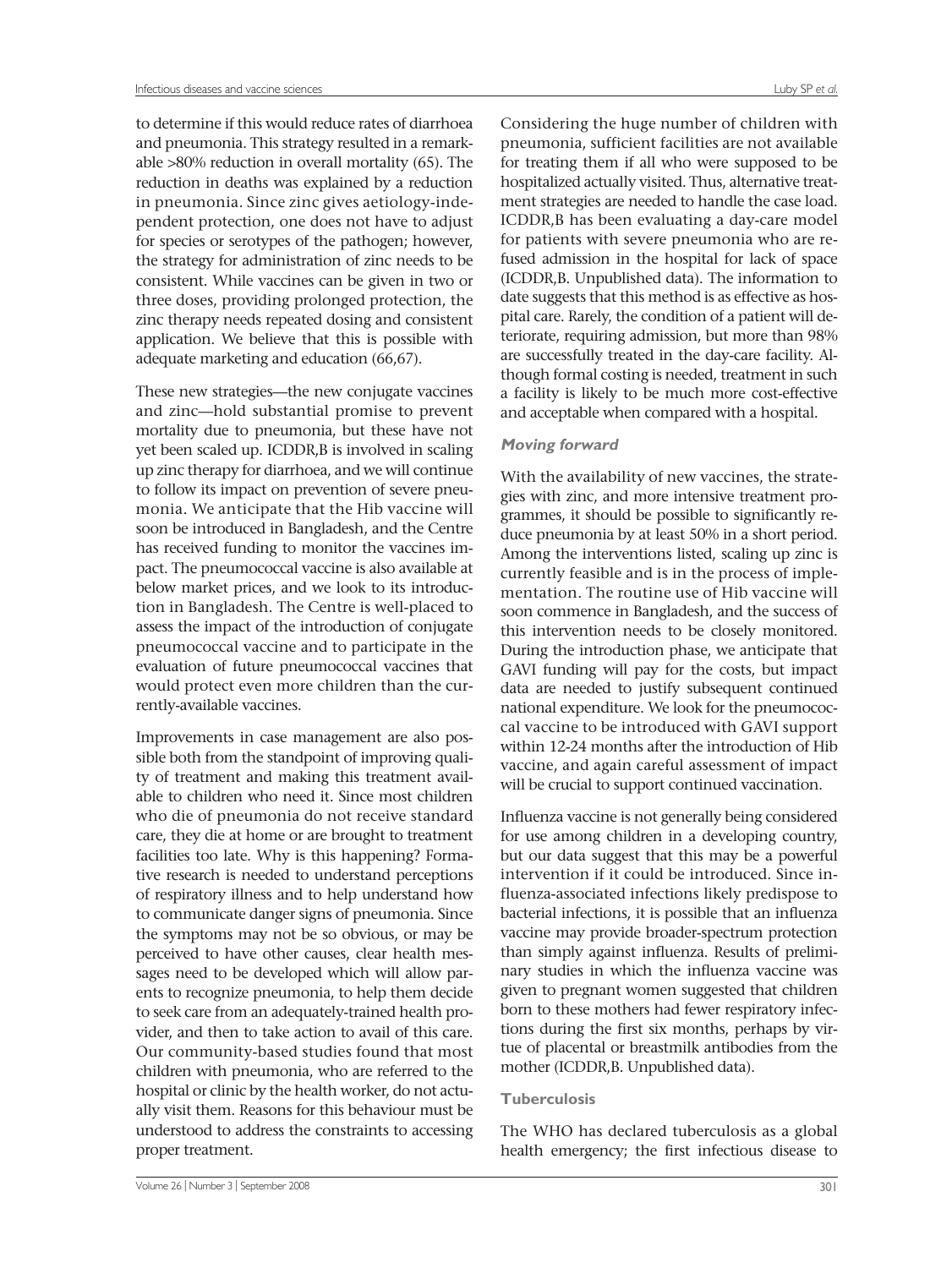to determine if this would reduce rates of diarrhoea and pneumonia. This strategy resulted in a remarkable >80% reduction in overall mortality (65). The reduction in deaths was explained by a reduction in pneumonia. Since zinc gives aetiology-independent protection, one does not have to adjust for species or serotypes of the pathogen; however, the strategy for administration of zinc needs to be consistent. While vaccines can be given in two or three doses, providing prolonged protection, the zinc therapy needs repeated dosing and consistent application. We believe that this is possible with adequate marketing and education (66,67).

These new strategies—the new conjugate vaccines and zinc—hold substantial promise to prevent mortality due to pneumonia, but these have not yet been scaled up. ICDDR,B is involved in scaling up zinc therapy for diarrhoea, and we will continue to follow its impact on prevention of severe pneumonia. We anticipate that the Hib vaccine will soon be introduced in Bangladesh, and the Centre has received funding to monitor the vaccines impact. The pneumococcal vaccine is also available at below market prices, and we look to its introduction in Bangladesh. The Centre is well-placed to assess the impact of the introduction of conjugate pneumococcal vaccine and to participate in the evaluation of future pneumococcal vaccines that would protect even more children than the currently-available vaccines.

Improvements in case management are also possible both from the standpoint of improving quality of treatment and making this treatment available to children who need it. Since most children who die of pneumonia do not receive standard care, they die at home or are brought to treatment facilities too late. Why is this happening? Formative research is needed to understand perceptions of respiratory illness and to help understand how to communicate danger signs of pneumonia. Since the symptoms may not be so obvious, or may be perceived to have other causes, clear health messages need to be developed which will allow parents to recognize pneumonia, to help them decide to seek care from an adequately-trained health provider, and then to take action to avail of this care. Our community-based studies found that most children with pneumonia, who are referred to the hospital or clinic by the health worker, do not actually visit them. Reasons for this behaviour must be understood to address the constraints to accessing proper treatment.

Considering the huge number of children with pneumonia, sufficient facilities are not available for treating them if all who were supposed to be hospitalized actually visited. Thus, alternative treatment strategies are needed to handle the case load. ICDDR,B has been evaluating a day-care model for patients with severe pneumonia who are refused admission in the hospital for lack of space (ICDDR,B. Unpublished data). The information to date suggests that this method is as effective as hospital care. Rarely, the condition of a patient will deteriorate, requiring admission, but more than 98% are successfully treated in the day-care facility. Although formal costing is needed, treatment in such a facility is likely to be much more cost-effective and acceptable when compared with a hospital.

## **Moving forward**

With the availability of new vaccines, the strategies with zinc, and more intensive treatment programmes, it should be possible to significantly reduce pneumonia by at least 50% in a short period. Among the interventions listed, scaling up zinc is currently feasible and is in the process of implementation. The routine use of Hib vaccine will soon commence in Bangladesh, and the success of this intervention needs to be closely monitored. During the introduction phase, we anticipate that GAVI funding will pay for the costs, but impact data are needed to justify subsequent continued national expenditure. We look for the pneumococcal vaccine to be introduced with GAVI support within 12-24 months after the introduction of Hib vaccine, and again careful assessment of impact will be crucial to support continued vaccination.

Influenza vaccine is not generally being considered for use among children in a developing country, but our data suggest that this may be a powerful intervention if it could be introduced. Since influenza**-**associated infections likely predispose to bacterial infections, it is possible that an influenza vaccine may provide broader-spectrum protection than simply against influenza. Results of preliminary studies in which the influenza vaccine was given to pregnant women suggested that children born to these mothers had fewer respiratory infections during the first six months, perhaps by virtue of placental or breastmilk antibodies from the mother (ICDDR,B. Unpublished data).

# **Tuberculosis**

The WHO has declared tuberculosis as a global health emergency; the first infectious disease to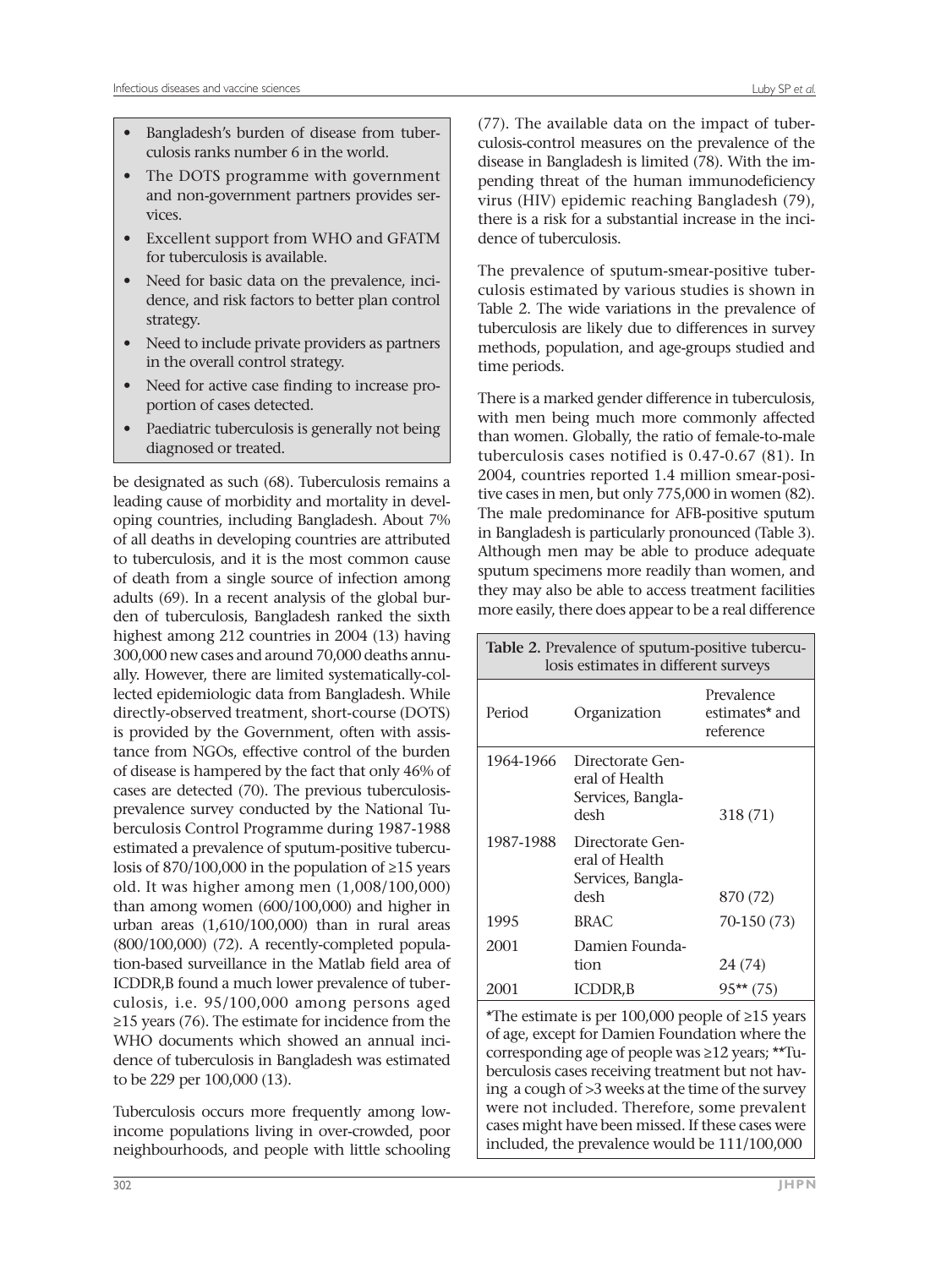- Bangladesh's burden of disease from tuberculosis ranks number 6 in the world.
- The DOTS programme with government and non-government partners provides services.
- • Excellent support from WHO and GFATM for tuberculosis is available.
- Need for basic data on the prevalence, incidence, and risk factors to better plan control strategy.
- Need to include private providers as partners in the overall control strategy.
- • Need for active case finding to increase proportion of cases detected.
- Paediatric tuberculosis is generally not being diagnosed or treated.

be designated as such (68). Tuberculosis remains a leading cause of morbidity and mortality in developing countries, including Bangladesh. About 7% of all deaths in developing countries are attributed to tuberculosis, and it is the most common cause of death from a single source of infection among adults (69). In a recent analysis of the global burden of tuberculosis, Bangladesh ranked the sixth highest among 212 countries in 2004 (13) having 300,000 new cases and around 70,000 deaths annually. However, there are limited systematically-collected epidemiologic data from Bangladesh. While directly-observed treatment, short-course (DOTS) is provided by the Government, often with assistance from NGOs, effective control of the burden of disease is hampered by the fact that only 46% of cases are detected (70). The previous tuberculosisprevalence survey conducted by the National Tuberculosis Control Programme during 1987-1988 estimated a prevalence of sputum-positive tuberculosis of 870/100,000 in the population of ≥15 years old. It was higher among men (1,008/100,000) than among women (600/100,000) and higher in urban areas (1,610/100,000) than in rural areas (800/100,000) (72). A recently-completed population-based surveillance in the Matlab field area of ICDDR,B found a much lower prevalence of tuberculosis, i.e. 95/100,000 among persons aged ≥15 years (76). The estimate for incidence from the WHO documents which showed an annual incidence of tuberculosis in Bangladesh was estimated to be 229 per 100,000 (13).

Tuberculosis occurs more frequently among lowincome populations living in over-crowded, poor neighbourhoods, and people with little schooling

(77). The available data on the impact of tuberculosis-control measures on the prevalence of the disease in Bangladesh is limited (78). With the impending threat of the human immunodeficiency virus (HIV) epidemic reaching Bangladesh (79), there is a risk for a substantial increase in the incidence of tuberculosis.

The prevalence of sputum-smear-positive tuberculosis estimated by various studies is shown in Table 2. The wide variations in the prevalence of tuberculosis are likely due to differences in survey methods, population, and age-groups studied and time periods.

There is a marked gender difference in tuberculosis, with men being much more commonly affected than women. Globally, the ratio of female-to-male tuberculosis cases notified is 0.47-0.67 (81). In 2004, countries reported 1.4 million smear-positive cases in men, but only 775,000 in women (82). The male predominance for AFB-positive sputum in Bangladesh is particularly pronounced (Table 3). Although men may be able to produce adequate sputum specimens more readily than women, and they may also be able to access treatment facilities more easily, there does appear to be a real difference

| Table 2. Prevalence of sputum-positive tubercu-<br>losis estimates in different surveys |                                                                 |                                           |  |  |
|-----------------------------------------------------------------------------------------|-----------------------------------------------------------------|-------------------------------------------|--|--|
| Period                                                                                  | Organization                                                    | Prevalence<br>estimates* and<br>reference |  |  |
| 1964-1966                                                                               | Directorate Gen-<br>eral of Health<br>Services, Bangla-<br>desh | 318 (71)                                  |  |  |
| 1987-1988                                                                               | Directorate Gen-<br>eral of Health<br>Services, Bangla-<br>desh | 870 (72)                                  |  |  |
| 1995                                                                                    | <b>BRAC</b>                                                     | 70-150 (73)                               |  |  |
| 2001                                                                                    | Damien Founda-<br>tion                                          | 24 (74)                                   |  |  |
| 2001                                                                                    | ICDDR,B                                                         | $95***$ (75)                              |  |  |

\*The estimate is per 100,000 people of ≥15 years of age, except for Damien Foundation where the corresponding age of people was ≥12 years; \*\*Tuberculosis cases receiving treatment but not having a cough of >3 weeks at the time of the survey were not included. Therefore, some prevalent cases might have been missed. If these cases were included, the prevalence would be 111/100,000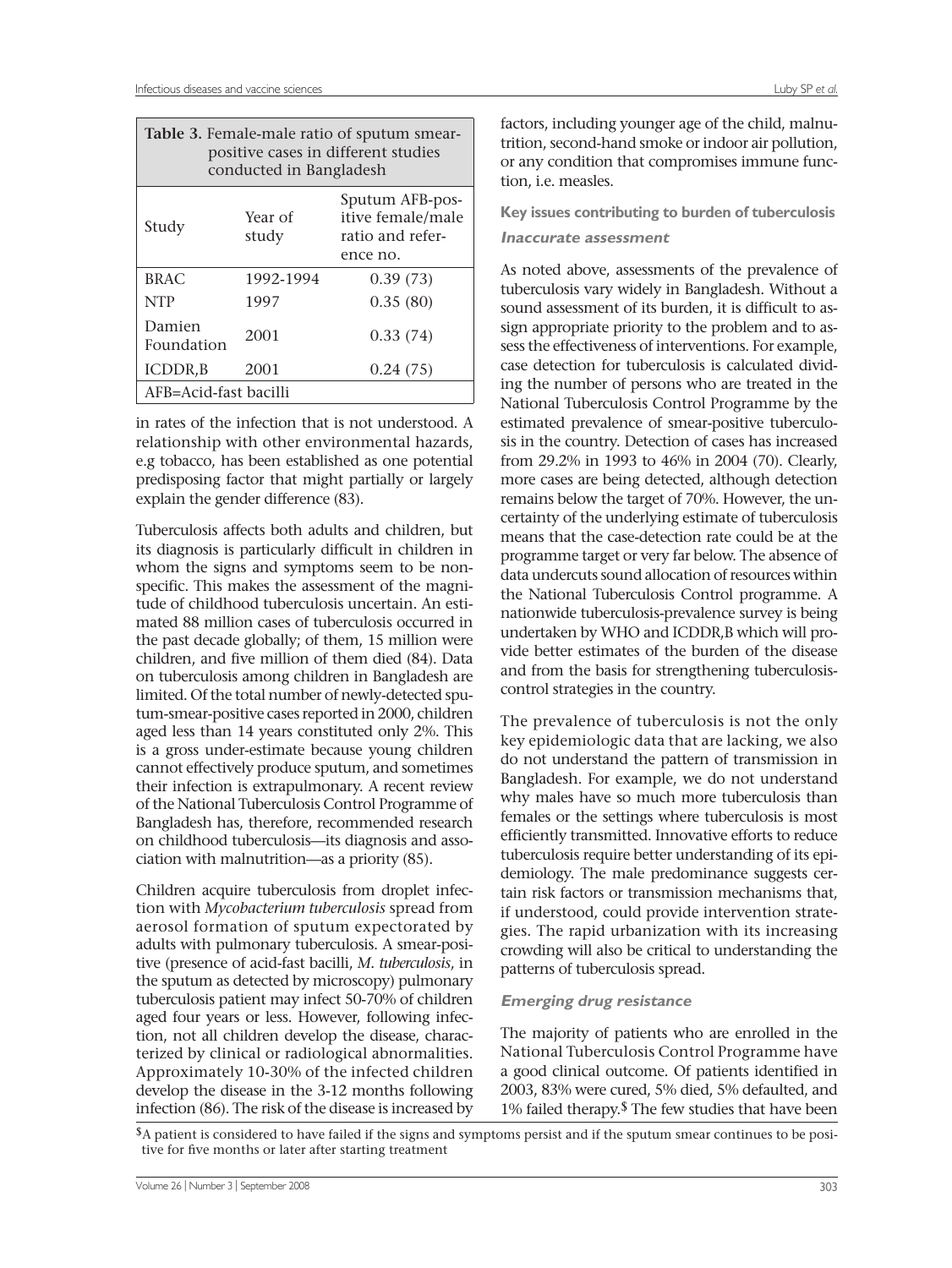| Table 3. Female-male ratio of sputum smear-<br>positive cases in different studies<br>conducted in Bangladesh |                  |                                                                      |  |  |
|---------------------------------------------------------------------------------------------------------------|------------------|----------------------------------------------------------------------|--|--|
| Study                                                                                                         | Year of<br>study | Sputum AFB-pos-<br>itive female/male<br>ratio and refer-<br>ence no. |  |  |
| <b>BRAC</b>                                                                                                   | 1992-1994        | 0.39(73)                                                             |  |  |
| <b>NTP</b>                                                                                                    | 1997             | 0.35(80)                                                             |  |  |
| Damien<br>Foundation                                                                                          | 2001             | 0.33(74)                                                             |  |  |
| ICDDR, B                                                                                                      | 2001             | 0.24(75)                                                             |  |  |
| AFB=Acid-fast bacilli                                                                                         |                  |                                                                      |  |  |

in rates of the infection that is not understood. A relationship with other environmental hazards, e.g tobacco, has been established as one potential predisposing factor that might partially or largely explain the gender difference (83).

Tuberculosis affects both adults and children, but its diagnosis is particularly difficult in children in whom the signs and symptoms seem to be nonspecific. This makes the assessment of the magnitude of childhood tuberculosis uncertain. An estimated 88 million cases of tuberculosis occurred in the past decade globally; of them, 15 million were children, and five million of them died (84). Data on tuberculosis among children in Bangladesh are limited. Of the total number of newly-detected sputum-smear-positive cases reported in 2000, children aged less than 14 years constituted only 2%. This is a gross under-estimate because young children cannot effectively produce sputum, and sometimes their infection is extrapulmonary. A recent review of the National Tuberculosis Control Programme of Bangladesh has, therefore, recommended research on childhood tuberculosis—its diagnosis and association with malnutrition—as a priority (85).

Children acquire tuberculosis from droplet infection with *Mycobacterium tuberculosis* spread from aerosol formation of sputum expectorated by adults with pulmonary tuberculosis. A smear-positive (presence of acid-fast bacilli, *M. tuberculosis*, in the sputum as detected by microscopy) pulmonary tuberculosis patient may infect 50-70% of children aged four years or less. However, following infection, not all children develop the disease, characterized by clinical or radiological abnormalities. Approximately 10-30% of the infected children develop the disease in the 3-12 months following infection (86). The risk of the disease is increased by

factors, including younger age of the child, malnutrition, second-hand smoke or indoor air pollution, or any condition that compromises immune function, i.e. measles.

**Key issues contributing to burden of tuberculosis Inaccurate assessment** 

As noted above, assessments of the prevalence of tuberculosis vary widely in Bangladesh. Without a sound assessment of its burden, it is difficult to assign appropriate priority to the problem and to assess the effectiveness of interventions. For example, case detection for tuberculosis is calculated dividing the number of persons who are treated in the National Tuberculosis Control Programme by the estimated prevalence of smear-positive tuberculosis in the country. Detection of cases has increased from 29.2% in 1993 to 46% in 2004 (70). Clearly, more cases are being detected, although detection remains below the target of 70%. However, the uncertainty of the underlying estimate of tuberculosis means that the case-detection rate could be at the programme target or very far below. The absence of data undercuts sound allocation of resources within the National Tuberculosis Control programme. A nationwide tuberculosis-prevalence survey is being undertaken by WHO and ICDDR,B which will provide better estimates of the burden of the disease and from the basis for strengthening tuberculosiscontrol strategies in the country.

The prevalence of tuberculosis is not the only key epidemiologic data that are lacking, we also do not understand the pattern of transmission in Bangladesh. For example, we do not understand why males have so much more tuberculosis than females or the settings where tuberculosis is most efficiently transmitted. Innovative efforts to reduce tuberculosis require better understanding of its epidemiology. The male predominance suggests certain risk factors or transmission mechanisms that, if understood, could provide intervention strategies. The rapid urbanization with its increasing crowding will also be critical to understanding the patterns of tuberculosis spread.

#### **Emerging drug resistance**

The majority of patients who are enrolled in the National Tuberculosis Control Programme have a good clinical outcome. Of patients identified in 2003, 83% were cured, 5% died, 5% defaulted, and 1% failed therapy.\$ The few studies that have been

\$A patient is considered to have failed if the signs and symptoms persist and if the sputum smear continues to be positive for five months or later after starting treatment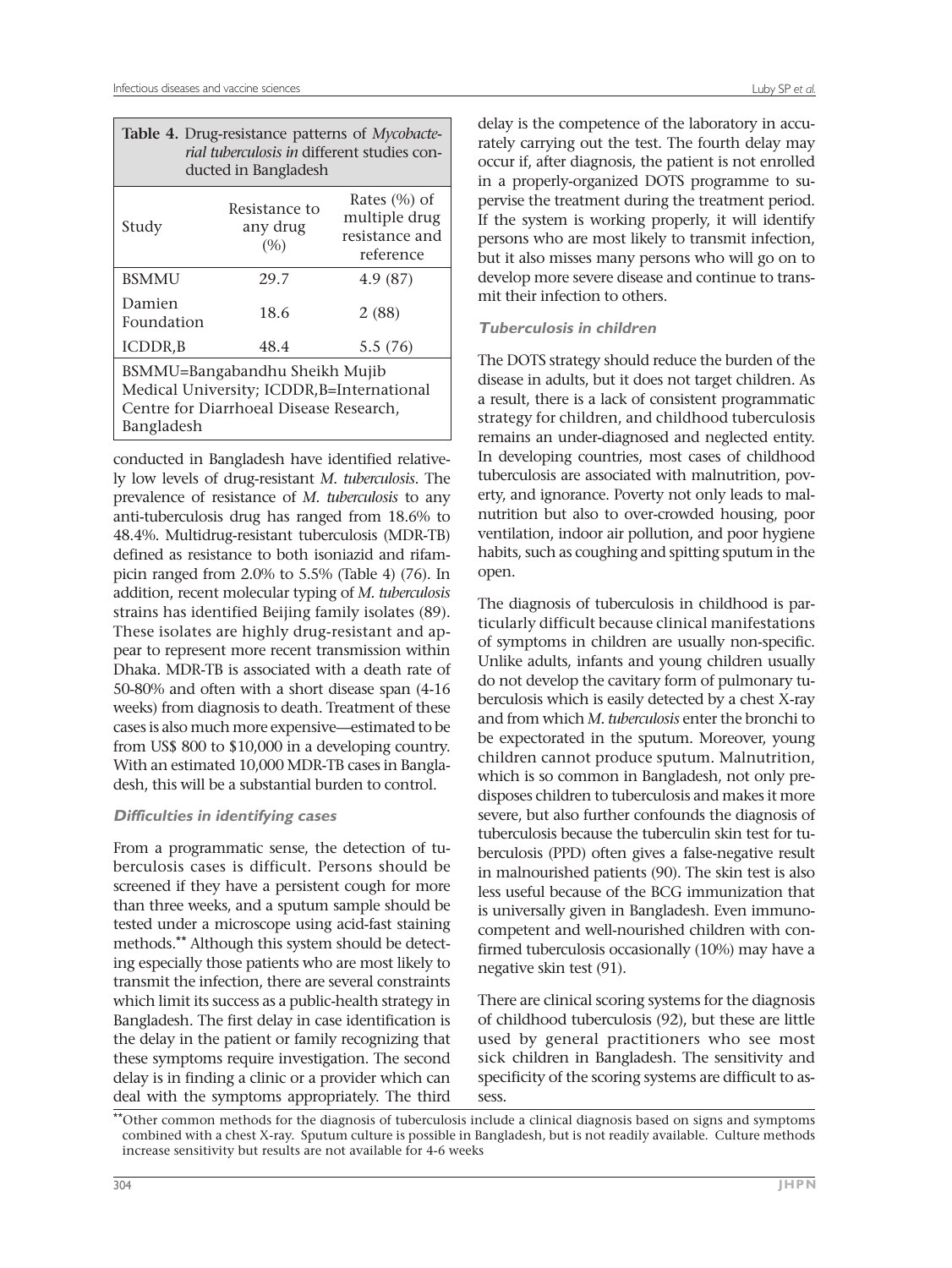| Table 4. Drug-resistance patterns of Mycobacte-<br>rial tuberculosis in different studies con-<br>ducted in Bangladesh                |                                    |                                                                 |  |  |
|---------------------------------------------------------------------------------------------------------------------------------------|------------------------------------|-----------------------------------------------------------------|--|--|
| Study                                                                                                                                 | Resistance to<br>any drug<br>(9/0) | Rates $(\%)$ of<br>multiple drug<br>resistance and<br>reference |  |  |
| <b>BSMMU</b>                                                                                                                          | 29.7                               | 4.9 (87)                                                        |  |  |
| Damien<br>Foundation                                                                                                                  | 18.6                               | 2(88)                                                           |  |  |
| ICDDR, B                                                                                                                              | 48.4                               | 5.5 (76)                                                        |  |  |
| BSMMU=Bangabandhu Sheikh Mujib<br>Medical University; ICDDR, B=International<br>Centre for Diarrhoeal Disease Research,<br>Bangladesh |                                    |                                                                 |  |  |

conducted in Bangladesh have identified relatively low levels of drug-resistant *M. tuberculosis*. The prevalence of resistance of *M. tuberculosis* to any anti-tuberculosis drug has ranged from 18.6% to 48.4%. Multidrug-resistant tuberculosis (MDR-TB) defined as resistance to both isoniazid and rifampicin ranged from 2.0% to 5.5% (Table 4) (76). In addition, recent molecular typing of *M. tuberculosis* strains has identified Beijing family isolates (89). These isolates are highly drug-resistant and appear to represent more recent transmission within Dhaka. MDR-TB is associated with a death rate of 50-80% and often with a short disease span (4-16 weeks) from diagnosis to death. Treatment of these cases is also much more expensive—estimated to be from US\$ 800 to \$10,000 in a developing country. With an estimated 10,000 MDR-TB cases in Bangladesh, this will be a substantial burden to control.

# **Difficulties in identifying cases**

From a programmatic sense, the detection of tuberculosis cases is difficult. Persons should be screened if they have a persistent cough for more than three weeks, and a sputum sample should be tested under a microscope using acid-fast staining methods.\*\* Although this system should be detecting especially those patients who are most likely to transmit the infection, there are several constraints which limit its success as a public-health strategy in Bangladesh. The first delay in case identification is the delay in the patient or family recognizing that these symptoms require investigation. The second delay is in finding a clinic or a provider which can deal with the symptoms appropriately. The third

delay is the competence of the laboratory in accurately carrying out the test. The fourth delay may occur if, after diagnosis, the patient is not enrolled in a properly-organized DOTS programme to supervise the treatment during the treatment period. If the system is working properly, it will identify persons who are most likely to transmit infection, but it also misses many persons who will go on to develop more severe disease and continue to transmit their infection to others.

# **Tuberculosis in children**

The DOTS strategy should reduce the burden of the disease in adults, but it does not target children. As a result, there is a lack of consistent programmatic strategy for children, and childhood tuberculosis remains an under-diagnosed and neglected entity. In developing countries, most cases of childhood tuberculosis are associated with malnutrition, poverty, and ignorance. Poverty not only leads to malnutrition but also to over-crowded housing, poor ventilation, indoor air pollution, and poor hygiene habits, such as coughing and spitting sputum in the open.

The diagnosis of tuberculosis in childhood is particularly difficult because clinical manifestations of symptoms in children are usually non-specific. Unlike adults, infants and young children usually do not develop the cavitary form of pulmonary tuberculosis which is easily detected by a chest X-ray and from which *M. tuberculosis* enter the bronchi to be expectorated in the sputum. Moreover, young children cannot produce sputum. Malnutrition, which is so common in Bangladesh, not only predisposes children to tuberculosis and makes it more severe, but also further confounds the diagnosis of tuberculosis because the tuberculin skin test for tuberculosis (PPD) often gives a false-negative result in malnourished patients (90). The skin test is also less useful because of the BCG immunization that is universally given in Bangladesh. Even immunocompetent and well-nourished children with confirmed tuberculosis occasionally (10%) may have a negative skin test (91).

There are clinical scoring systems for the diagnosis of childhood tuberculosis (92), but these are little used by general practitioners who see most sick children in Bangladesh. The sensitivity and specificity of the scoring systems are difficult to assess.

<sup>\*\*</sup>Other common methods for the diagnosis of tuberculosis include a clinical diagnosis based on signs and symptoms combined with a chest X-ray. Sputum culture is possible in Bangladesh, but is not readily available. Culture methods increase sensitivity but results are not available for 4-6 weeks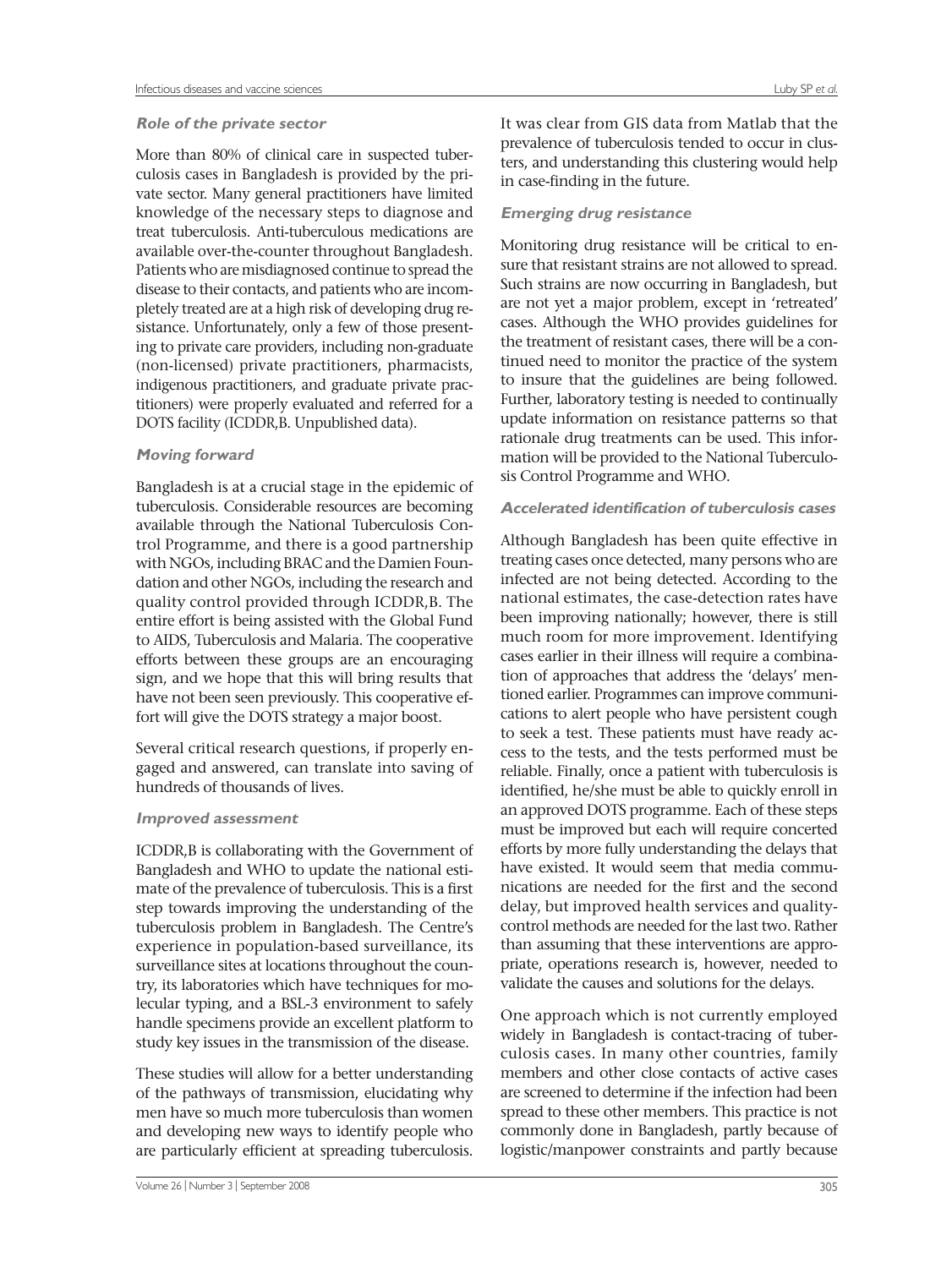#### **Role of the private sector**

More than 80% of clinical care in suspected tuberculosis cases in Bangladesh is provided by the private sector. Many general practitioners have limited knowledge of the necessary steps to diagnose and treat tuberculosis. Anti-tuberculous medications are available over-the-counter throughout Bangladesh. Patients who are misdiagnosed continue to spread the disease to their contacts, and patients who are incompletely treated are at a high risk of developing drug resistance. Unfortunately, only a few of those presenting to private care providers, including non-graduate (non-licensed) private practitioners, pharmacists, indigenous practitioners, and graduate private practitioners) were properly evaluated and referred for a DOTS facility (ICDDR,B. Unpublished data).

#### **Moving forward**

Bangladesh is at a crucial stage in the epidemic of tuberculosis. Considerable resources are becoming available through the National Tuberculosis Control Programme, and there is a good partnership with NGOs, including BRAC and the Damien Foundation and other NGOs, including the research and quality control provided through ICDDR,B. The entire effort is being assisted with the Global Fund to AIDS, Tuberculosis and Malaria. The cooperative efforts between these groups are an encouraging sign, and we hope that this will bring results that have not been seen previously. This cooperative effort will give the DOTS strategy a major boost.

Several critical research questions, if properly engaged and answered, can translate into saving of hundreds of thousands of lives.

#### **Improved assessment**

ICDDR,B is collaborating with the Government of Bangladesh and WHO to update the national estimate of the prevalence of tuberculosis. This is a first step towards improving the understanding of the tuberculosis problem in Bangladesh. The Centre's experience in population-based surveillance, its surveillance sites at locations throughout the country, its laboratories which have techniques for molecular typing, and a BSL-3 environment to safely handle specimens provide an excellent platform to study key issues in the transmission of the disease.

These studies will allow for a better understanding of the pathways of transmission, elucidating why men have so much more tuberculosis than women and developing new ways to identify people who are particularly efficient at spreading tuberculosis. It was clear from GIS data from Matlab that the prevalence of tuberculosis tended to occur in clusters, and understanding this clustering would help in case-finding in the future.

#### **Emerging drug resistance**

Monitoring drug resistance will be critical to ensure that resistant strains are not allowed to spread. Such strains are now occurring in Bangladesh, but are not yet a major problem, except in 'retreated' cases. Although the WHO provides guidelines for the treatment of resistant cases, there will be a continued need to monitor the practice of the system to insure that the guidelines are being followed. Further, laboratory testing is needed to continually update information on resistance patterns so that rationale drug treatments can be used. This information will be provided to the National Tuberculosis Control Programme and WHO.

#### **Accelerated identification of tuberculosis cases**

Although Bangladesh has been quite effective in treating cases once detected, many persons who are infected are not being detected. According to the national estimates, the case-detection rates have been improving nationally; however, there is still much room for more improvement. Identifying cases earlier in their illness will require a combination of approaches that address the 'delays' mentioned earlier. Programmes can improve communications to alert people who have persistent cough to seek a test. These patients must have ready access to the tests, and the tests performed must be reliable. Finally, once a patient with tuberculosis is identified, he/she must be able to quickly enroll in an approved DOTS programme. Each of these steps must be improved but each will require concerted efforts by more fully understanding the delays that have existed. It would seem that media communications are needed for the first and the second delay, but improved health services and qualitycontrol methods are needed for the last two. Rather than assuming that these interventions are appropriate, operations research is, however, needed to validate the causes and solutions for the delays.

One approach which is not currently employed widely in Bangladesh is contact-tracing of tuberculosis cases. In many other countries, family members and other close contacts of active cases are screened to determine if the infection had been spread to these other members. This practice is not commonly done in Bangladesh, partly because of logistic/manpower constraints and partly because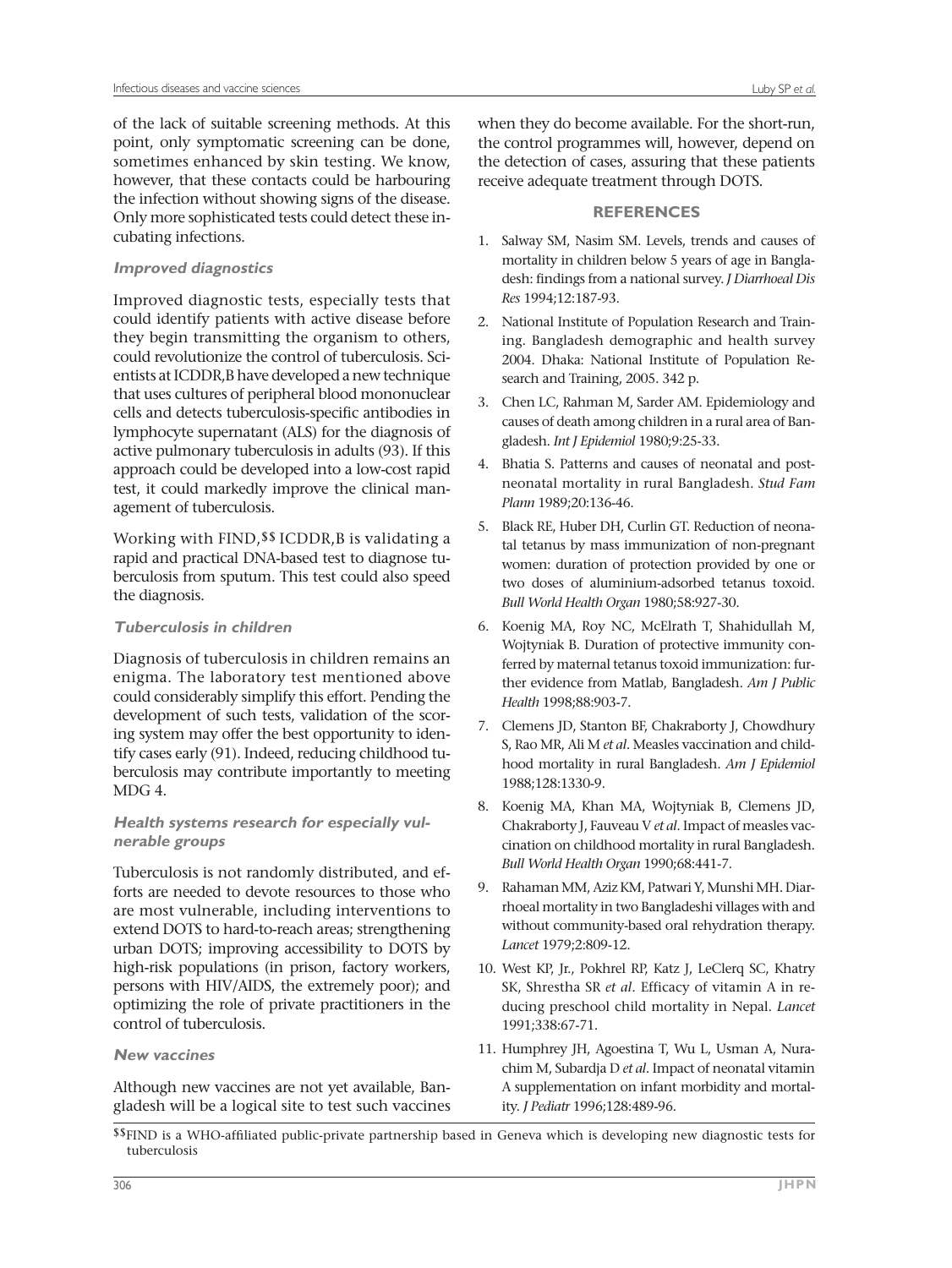of the lack of suitable screening methods. At this point, only symptomatic screening can be done, sometimes enhanced by skin testing. We know, however, that these contacts could be harbouring the infection without showing signs of the disease. Only more sophisticated tests could detect these incubating infections.

# **Improved diagnostics**

Improved diagnostic tests, especially tests that could identify patients with active disease before they begin transmitting the organism to others, could revolutionize the control of tuberculosis. Scientists at ICDDR,B have developed a new technique that uses cultures of peripheral blood mononuclear cells and detects tuberculosis-specific antibodies in lymphocyte supernatant (ALS) for the diagnosis of active pulmonary tuberculosis in adults (93). If this approach could be developed into a low-cost rapid test, it could markedly improve the clinical management of tuberculosis.

Working with FIND,\$\$ ICDDR,B is validating a rapid and practical DNA-based test to diagnose tuberculosis from sputum. This test could also speed the diagnosis.

# **Tuberculosis in children**

Diagnosis of tuberculosis in children remains an enigma. The laboratory test mentioned above could considerably simplify this effort. Pending the development of such tests, validation of the scoring system may offer the best opportunity to identify cases early (91). Indeed, reducing childhood tuberculosis may contribute importantly to meeting MDG 4.

# **Health systems research for especially vulnerable groups**

Tuberculosis is not randomly distributed, and efforts are needed to devote resources to those who are most vulnerable, including interventions to extend DOTS to hard-to-reach areas; strengthening urban DOTS; improving accessibility to DOTS by high-risk populations (in prison, factory workers, persons with HIV/AIDS, the extremely poor); and optimizing the role of private practitioners in the control of tuberculosis.

# **New vaccines**

Although new vaccines are not yet available, Bangladesh will be a logical site to test such vaccines when they do become available. For the short-run, the control programmes will, however, depend on the detection of cases, assuring that these patients receive adequate treatment through DOTS.

## **REFERENCES**

- 1. Salway SM, Nasim SM. Levels, trends and causes of mortality in children below 5 years of age in Bangladesh: findings from a national survey. *J Diarrhoeal Dis Res* 1994;12:187-93.
- 2. National Institute of Population Research and Training. Bangladesh demographic and health survey 2004. Dhaka: National Institute of Population Research and Training, 2005. 342 p.
- 3. Chen LC, Rahman M, Sarder AM. Epidemiology and causes of death among children in a rural area of Bangladesh. *Int J Epidemiol* 1980;9:25-33.
- 4. Bhatia S. Patterns and causes of neonatal and postneonatal mortality in rural Bangladesh. *Stud Fam Plann* 1989;20:136-46.
- 5. Black RE, Huber DH, Curlin GT. Reduction of neonatal tetanus by mass immunization of non-pregnant women: duration of protection provided by one or two doses of aluminium-adsorbed tetanus toxoid. *Bull World Health Organ* 1980;58:927-30.
- 6. Koenig MA, Roy NC, McElrath T, Shahidullah M, Wojtyniak B. Duration of protective immunity conferred by maternal tetanus toxoid immunization: further evidence from Matlab, Bangladesh. *Am J Public Health* 1998;88:903-7.
- 7. Clemens JD, Stanton BF, Chakraborty J, Chowdhury S, Rao MR, Ali M *et al*. Measles vaccination and childhood mortality in rural Bangladesh. *Am J Epidemiol* 1988;128:1330-9.
- 8. Koenig MA, Khan MA, Wojtyniak B, Clemens JD, Chakraborty J, Fauveau V *et al*. Impact of measles vaccination on childhood mortality in rural Bangladesh. *Bull World Health Organ* 1990;68:441-7.
- 9. Rahaman MM, Aziz KM, Patwari Y, Munshi MH. Diarrhoeal mortality in two Bangladeshi villages with and without community-based oral rehydration therapy. *Lancet* 1979;2:809-12.
- 10. West KP, Jr., Pokhrel RP, Katz J, LeClerq SC, Khatry SK, Shrestha SR *et al*. Efficacy of vitamin A in reducing preschool child mortality in Nepal. *Lancet* 1991;338:67-71.
- 11. Humphrey JH, Agoestina T, Wu L, Usman A, Nurachim M, Subardja D *et al*. Impact of neonatal vitamin A supplementation on infant morbidity and mortality. *J Pediatr* 1996;128:489-96.

<sup>\$\$</sup>FIND is a WHO-affiliated public-private partnership based in Geneva which is developing new diagnostic tests for tuberculosis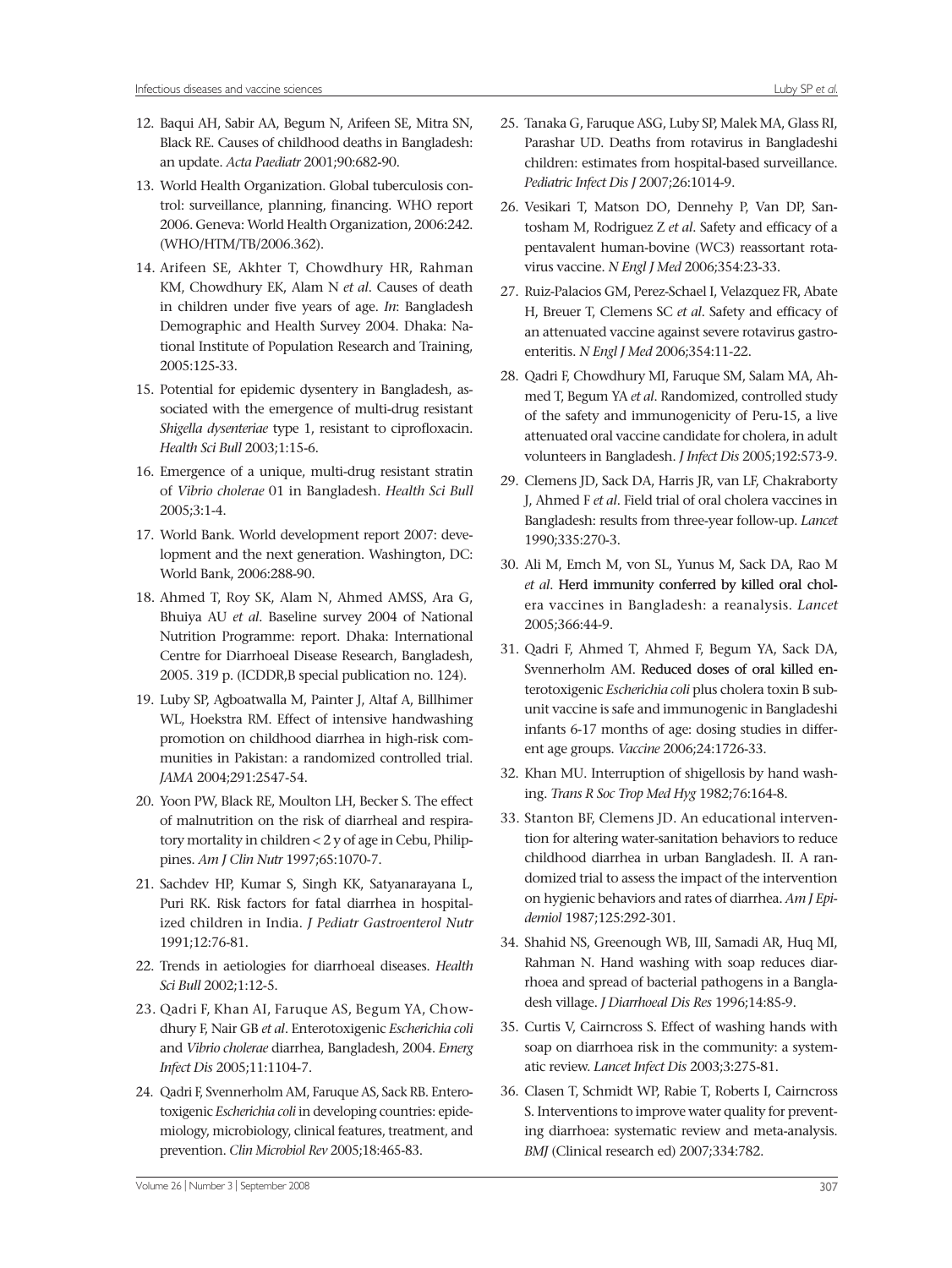- 12. Baqui AH, Sabir AA, Begum N, Arifeen SE, Mitra SN, Black RE. Causes of childhood deaths in Bangladesh: an update. *Acta Paediatr* 2001;90:682-90.
- 13. World Health Organization. Global tuberculosis control: surveillance, planning, financing. WHO report 2006. Geneva: World Health Organization, 2006:242. (WHO/HTM/TB/2006.362).
- 14. Arifeen SE, Akhter T, Chowdhury HR, Rahman KM, Chowdhury EK, Alam N *et al*. Causes of death in children under five years of age. *In*: Bangladesh Demographic and Health Survey 2004. Dhaka: National Institute of Population Research and Training, 2005:125-33.
- 15. Potential for epidemic dysentery in Bangladesh, associated with the emergence of multi-drug resistant *Shigella dysenteriae* type 1, resistant to ciprofloxacin. *Health Sci Bull* 2003;1:15-6.
- 16. Emergence of a unique, multi-drug resistant stratin of *Vibrio cholerae* 01 in Bangladesh. *Health Sci Bull* 2005;3:1-4.
- 17. World Bank. World development report 2007: development and the next generation. Washington, DC: World Bank, 2006:288-90.
- 18. Ahmed T, Roy SK, Alam N, Ahmed AMSS, Ara G, Bhuiya AU *et al*. Baseline survey 2004 of National Nutrition Programme: report. Dhaka: International Centre for Diarrhoeal Disease Research, Bangladesh, 2005. 319 p. (ICDDR,B special publication no. 124).
- 19. Luby SP, Agboatwalla M, Painter J, Altaf A, Billhimer WL, Hoekstra RM. Effect of intensive handwashing promotion on childhood diarrhea in high-risk communities in Pakistan: a randomized controlled trial. *JAMA* 2004;291:2547-54.
- 20. Yoon PW, Black RE, Moulton LH, Becker S. The effect of malnutrition on the risk of diarrheal and respiratory mortality in children < 2 y of age in Cebu, Philippines. *Am J Clin Nutr* 1997;65:1070-7.
- 21. Sachdev HP, Kumar S, Singh KK, Satyanarayana L, Puri RK. Risk factors for fatal diarrhea in hospitalized children in India. *J Pediatr Gastroenterol Nutr*  1991;12:76-81.
- 22. Trends in aetiologies for diarrhoeal diseases. *Health Sci Bull* 2002;1:12-5.
- 23. Qadri F, Khan AI, Faruque AS, Begum YA, Chowdhury F, Nair GB *et al*. Enterotoxigenic *Escherichia coli* and *Vibrio cholerae* diarrhea, Bangladesh, 2004. *Emerg Infect Dis* 2005;11:1104-7.
- 24. Qadri F, Svennerholm AM, Faruque AS, Sack RB. Enterotoxigenic *Escherichia coli* in developing countries: epidemiology, microbiology, clinical features, treatment, and prevention. *Clin Microbiol Rev* 2005;18:465-83.
- 25. Tanaka G, Faruque ASG, Luby SP, Malek MA, Glass RI, Parashar UD. Deaths from rotavirus in Bangladeshi children: estimates from hospital-based surveillance. *Pediatric Infect Dis J* 2007;26:1014-9.
- 26. Vesikari T, Matson DO, Dennehy P, Van DP, Santosham M, Rodriguez Z *et al*. Safety and efficacy of a pentavalent human-bovine (WC3) reassortant rotavirus vaccine. *N Engl J Med* 2006;354:23-33.
- 27. Ruiz-Palacios GM, Perez-Schael I, Velazquez FR, Abate H, Breuer T, Clemens SC *et al*. Safety and efficacy of an attenuated vaccine against severe rotavirus gastroenteritis. *N Engl J Med* 2006;354:11-22.
- 28. Qadri F, Chowdhury MI, Faruque SM, Salam MA, Ahmed T, Begum YA *et al*. Randomized, controlled study of the safety and immunogenicity of Peru-15, a live attenuated oral vaccine candidate for cholera, in adult volunteers in Bangladesh. *J Infect Dis* 2005;192:573-9.
- 29. Clemens JD, Sack DA, Harris JR, van LF, Chakraborty J, Ahmed F *et al*. Field trial of oral cholera vaccines in Bangladesh: results from three-year follow-up. *Lancet* 1990;335:270-3.
- 30. Ali M, Emch M, von SL, Yunus M, Sack DA, Rao M *et al.* Herd immunity conferred by killed oral cholera vaccines in Bangladesh: a reanalysis. *Lancet* 2005;366:44-9.
- 31. Qadri F, Ahmed T, Ahmed F, Begum YA, Sack DA, Svennerholm AM. Reduced doses of oral killed enterotoxigenic *Escherichia coli* plus cholera toxin B subunit vaccine is safe and immunogenic in Bangladeshi infants 6-17 months of age: dosing studies in different age groups. *Vaccine* 2006;24:1726-33.
- 32. Khan MU. Interruption of shigellosis by hand washing. *Trans R Soc Trop Med Hyg* 1982;76:164-8.
- 33. Stanton BF, Clemens JD. An educational intervention for altering water-sanitation behaviors to reduce childhood diarrhea in urban Bangladesh. II. A randomized trial to assess the impact of the intervention on hygienic behaviors and rates of diarrhea. *Am J Epidemiol* 1987;125:292-301.
- 34. Shahid NS, Greenough WB, III, Samadi AR, Huq MI, Rahman N. Hand washing with soap reduces diarrhoea and spread of bacterial pathogens in a Bangladesh village. *J Diarrhoeal Dis Res* 1996;14:85-9.
- 35. Curtis V, Cairncross S. Effect of washing hands with soap on diarrhoea risk in the community: a systematic review. *Lancet Infect Dis* 2003;3:275-81.
- 36. Clasen T, Schmidt WP, Rabie T, Roberts I, Cairncross S. Interventions to improve water quality for preventing diarrhoea: systematic review and meta-analysis. *BMJ* (Clinical research ed) 2007;334:782.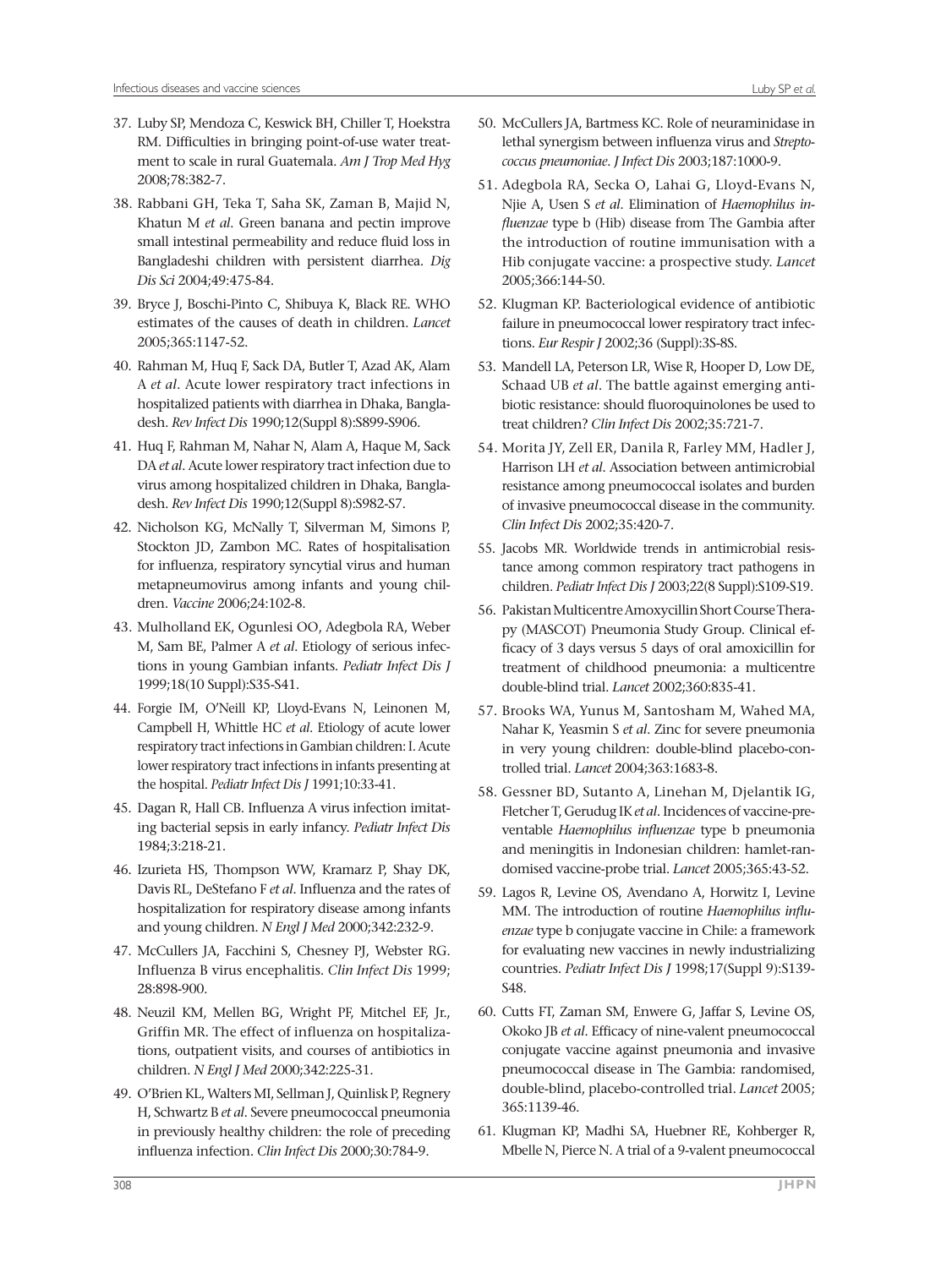- 37. Luby SP, Mendoza C, Keswick BH, Chiller T, Hoekstra RM. Difficulties in bringing point-of-use water treatment to scale in rural Guatemala. *Am J Trop Med Hyg* 2008;78:382-7.
- 38. Rabbani GH, Teka T, Saha SK, Zaman B, Majid N, Khatun M *et al*. Green banana and pectin improve small intestinal permeability and reduce fluid loss in Bangladeshi children with persistent diarrhea. *Dig Dis Sci* 2004;49:475-84.
- 39. Bryce J, Boschi-Pinto C, Shibuya K, Black RE. WHO estimates of the causes of death in children. *Lancet* 2005;365:1147-52.
- 40. Rahman M, Huq F, Sack DA, Butler T, Azad AK, Alam A *et al*. Acute lower respiratory tract infections in hospitalized patients with diarrhea in Dhaka, Bangladesh. *Rev Infect Dis* 1990;12(Suppl 8):S899-S906.
- 41. Huq F, Rahman M, Nahar N, Alam A, Haque M, Sack DA *et al*. Acute lower respiratory tract infection due to virus among hospitalized children in Dhaka, Bangladesh. *Rev Infect Dis* 1990;12(Suppl 8):S982-S7.
- 42. Nicholson KG, McNally T, Silverman M, Simons P, Stockton JD, Zambon MC. Rates of hospitalisation for influenza, respiratory syncytial virus and human metapneumovirus among infants and young children. *Vaccine* 2006;24:102-8.
- 43. Mulholland EK, Ogunlesi OO, Adegbola RA, Weber M, Sam BE, Palmer A *et al*. Etiology of serious infections in young Gambian infants. *Pediatr Infect Dis J* 1999;18(10 Suppl):S35-S41.
- 44. Forgie IM, O'Neill KP, Lloyd-Evans N, Leinonen M, Campbell H, Whittle HC *et al*. Etiology of acute lower respiratory tract infections in Gambian children: I. Acute lower respiratory tract infections in infants presenting at the hospital. *Pediatr Infect Dis J* 1991;10:33-41.
- 45. Dagan R, Hall CB. Influenza A virus infection imitating bacterial sepsis in early infancy. *Pediatr Infect Dis* 1984;3:218-21.
- 46. Izurieta HS, Thompson WW, Kramarz P, Shay DK, Davis RL, DeStefano F *et al*. Influenza and the rates of hospitalization for respiratory disease among infants and young children. *N Engl J Med* 2000;342:232-9.
- 47. McCullers JA, Facchini S, Chesney PJ, Webster RG. Influenza B virus encephalitis. *Clin Infect Dis* 1999; 28:898-900.
- 48. Neuzil KM, Mellen BG, Wright PF, Mitchel EF, Jr., Griffin MR. The effect of influenza on hospitalizations, outpatient visits, and courses of antibiotics in children. *N Engl J Med* 2000;342:225-31.
- 49. O'Brien KL, Walters MI, Sellman J, Quinlisk P, Regnery H, Schwartz B *et al*. Severe pneumococcal pneumonia in previously healthy children: the role of preceding influenza infection. *Clin Infect Dis* 2000;30:784-9.
- 50. McCullers JA, Bartmess KC. Role of neuraminidase in lethal synergism between influenza virus and *Streptococcus pneumoniae*. *J Infect Dis* 2003;187:1000-9.
- 51. Adegbola RA, Secka O, Lahai G, Lloyd-Evans N, Njie A, Usen S *et al*. Elimination of *Haemophilus influenzae* type b (Hib) disease from The Gambia after the introduction of routine immunisation with a Hib conjugate vaccine: a prospective study. *Lancet* 2005;366:144-50.
- 52. Klugman KP. Bacteriological evidence of antibiotic failure in pneumococcal lower respiratory tract infections. *Eur Respir J* 2002;36 (Suppl):3S-8S.
- 53. Mandell LA, Peterson LR, Wise R, Hooper D, Low DE, Schaad UB *et al*. The battle against emerging antibiotic resistance: should fluoroquinolones be used to treat children? *Clin Infect Dis* 2002;35:721-7.
- 54. Morita JY, Zell ER, Danila R, Farley MM, Hadler J, Harrison LH *et al*. Association between antimicrobial resistance among pneumococcal isolates and burden of invasive pneumococcal disease in the community. *Clin Infect Dis* 2002;35:420-7.
- 55. Jacobs MR. Worldwide trends in antimicrobial resistance among common respiratory tract pathogens in children. *Pediatr Infect Dis J* 2003;22(8 Suppl):S109-S19.
- 56. Pakistan Multicentre Amoxycillin Short Course Therapy (MASCOT) Pneumonia Study Group. Clinical efficacy of 3 days versus 5 days of oral amoxicillin for treatment of childhood pneumonia: a multicentre double-blind trial. *Lancet* 2002;360:835-41.
- 57. Brooks WA, Yunus M, Santosham M, Wahed MA, Nahar K, Yeasmin S *et al*. Zinc for severe pneumonia in very young children: double-blind placebo-controlled trial. *Lancet* 2004;363:1683-8.
- 58. Gessner BD, Sutanto A, Linehan M, Djelantik IG, Fletcher T, Gerudug IK *et al*. Incidences of vaccine-preventable *Haemophilus influenzae* type b pneumonia and meningitis in Indonesian children: hamlet-randomised vaccine-probe trial. *Lancet* 2005;365:43-52.
- 59. Lagos R, Levine OS, Avendano A, Horwitz I, Levine MM. The introduction of routine *Haemophilus influenzae* type b conjugate vaccine in Chile: a framework for evaluating new vaccines in newly industrializing countries. *Pediatr Infect Dis J* 1998;17(Suppl 9):S139- S48.
- 60. Cutts FT, Zaman SM, Enwere G, Jaffar S, Levine OS, Okoko JB *et al*. Efficacy of nine-valent pneumococcal conjugate vaccine against pneumonia and invasive pneumococcal disease in The Gambia: randomised, double-blind, placebo-controlled trial. *Lancet* 2005; 365:1139-46.
- 61. Klugman KP, Madhi SA, Huebner RE, Kohberger R, Mbelle N, Pierce N. A trial of a 9-valent pneumococcal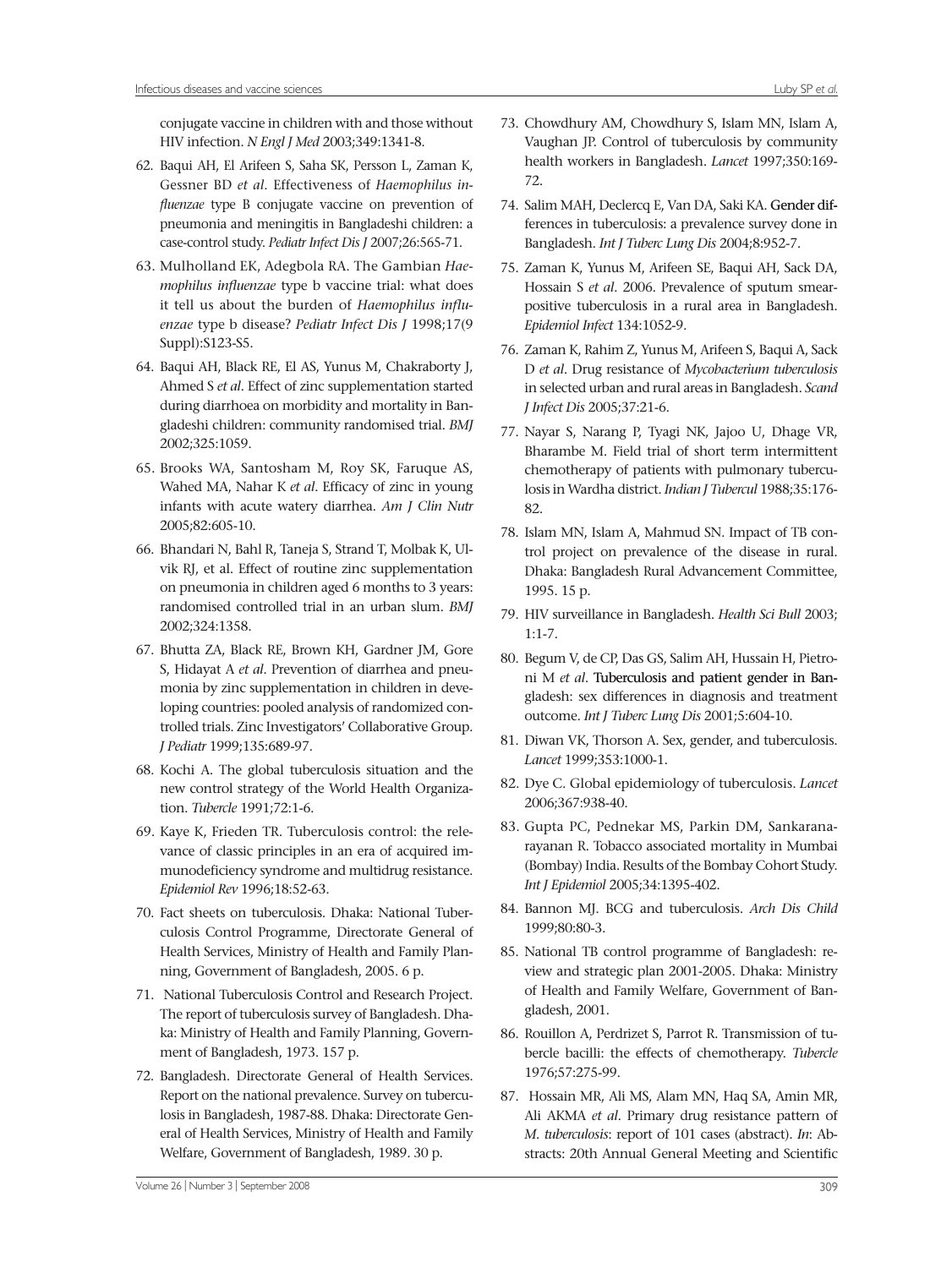conjugate vaccine in children with and those without HIV infection. *N Engl J Med* 2003;349:1341-8.

- 62. Baqui AH, El Arifeen S, Saha SK, Persson L, Zaman K, Gessner BD *et al*. Effectiveness of *Haemophilus influenzae* type B conjugate vaccine on prevention of pneumonia and meningitis in Bangladeshi children: a case-control study. *Pediatr Infect Dis J* 2007;26:565-71.
- 63. Mulholland EK, Adegbola RA. The Gambian *Haemophilus influenzae* type b vaccine trial: what does it tell us about the burden of *Haemophilus influenzae* type b disease? *Pediatr Infect Dis J* 1998;17(9 Suppl):S123-S5.
- 64. Baqui AH, Black RE, El AS, Yunus M, Chakraborty J, Ahmed S *et al*. Effect of zinc supplementation started during diarrhoea on morbidity and mortality in Bangladeshi children: community randomised trial. *BMJ* 2002;325:1059.
- 65. Brooks WA, Santosham M, Roy SK, Faruque AS, Wahed MA, Nahar K *et al*. Efficacy of zinc in young infants with acute watery diarrhea. *Am J Clin Nutr* 2005;82:605-10.
- 66. Bhandari N, Bahl R, Taneja S, Strand T, Molbak K, Ulvik RJ, et al. Effect of routine zinc supplementation on pneumonia in children aged 6 months to 3 years: randomised controlled trial in an urban slum. *BMJ* 2002;324:1358.
- 67. Bhutta ZA, Black RE, Brown KH, Gardner JM, Gore S, Hidayat A *et al*. Prevention of diarrhea and pneumonia by zinc supplementation in children in developing countries: pooled analysis of randomized controlled trials. Zinc Investigators' Collaborative Group. *J Pediatr* 1999;135:689-97.
- 68. Kochi A. The global tuberculosis situation and the new control strategy of the World Health Organization. *Tubercle* 1991;72:1-6.
- 69. Kaye K, Frieden TR. Tuberculosis control: the relevance of classic principles in an era of acquired immunodeficiency syndrome and multidrug resistance. *Epidemiol Rev* 1996;18:52-63.
- 70. Fact sheets on tuberculosis. Dhaka: National Tuberculosis Control Programme, Directorate General of Health Services, Ministry of Health and Family Planning, Government of Bangladesh, 2005. 6 p.
- 71. National Tuberculosis Control and Research Project. The report of tuberculosis survey of Bangladesh. Dhaka: Ministry of Health and Family Planning, Government of Bangladesh, 1973. 157 p.
- 72. Bangladesh. Directorate General of Health Services. Report on the national prevalence. Survey on tuberculosis in Bangladesh, 1987-88. Dhaka: Directorate General of Health Services, Ministry of Health and Family Welfare, Government of Bangladesh, 1989. 30 p.
- 73. Chowdhury AM, Chowdhury S, Islam MN, Islam A, Vaughan JP. Control of tuberculosis by community health workers in Bangladesh. *Lancet* 1997;350:169- 72.
- 74. Salim MAH, Declercq E, Van DA, Saki KA. Gender differences in tuberculosis: a prevalence survey done in Bangladesh. *Int J Tuberc Lung Dis* 2004;8:952-7.
- 75. Zaman K, Yunus M, Arifeen SE, Baqui AH, Sack DA, Hossain S *et al*. 2006. Prevalence of sputum smearpositive tuberculosis in a rural area in Bangladesh. *Epidemiol Infect* 134:1052-9.
- 76. Zaman K, Rahim Z, Yunus M, Arifeen S, Baqui A, Sack D *et al*. Drug resistance of *Mycobacterium tuberculosis* in selected urban and rural areas in Bangladesh. *Scand J Infect Dis* 2005;37:21-6.
- 77. Nayar S, Narang P, Tyagi NK, Jajoo U, Dhage VR, Bharambe M. Field trial of short term intermittent chemotherapy of patients with pulmonary tuberculosis in Wardha district. *Indian J Tubercul* 1988;35:176- 82.
- 78. Islam MN, Islam A, Mahmud SN. Impact of TB control project on prevalence of the disease in rural. Dhaka: Bangladesh Rural Advancement Committee, 1995. 15 p.
- 79. HIV surveillance in Bangladesh. *Health Sci Bull* 2003; 1:1-7.
- 80. Begum V, de CP, Das GS, Salim AH, Hussain H, Pietroni M et al. Tuberculosis and patient gender in Bangladesh: sex differences in diagnosis and treatment outcome. *Int J Tuberc Lung Dis* 2001;5:604-10.
- 81. Diwan VK, Thorson A. Sex, gender, and tuberculosis. *Lancet* 1999;353:1000-1.
- 82. Dye C. Global epidemiology of tuberculosis. *Lancet* 2006;367:938-40.
- 83. Gupta PC, Pednekar MS, Parkin DM, Sankaranarayanan R. Tobacco associated mortality in Mumbai (Bombay) India. Results of the Bombay Cohort Study. *Int J Epidemiol* 2005;34:1395-402.
- 84. Bannon MJ. BCG and tuberculosis. *Arch Dis Child* 1999;80:80-3.
- 85. National TB control programme of Bangladesh: review and strategic plan 2001-2005. Dhaka: Ministry of Health and Family Welfare, Government of Bangladesh, 2001.
- 86. Rouillon A, Perdrizet S, Parrot R. Transmission of tubercle bacilli: the effects of chemotherapy. *Tubercle* 1976;57:275-99.
- 87. Hossain MR, Ali MS, Alam MN, Haq SA, Amin MR, Ali AKMA *et al*. Primary drug resistance pattern of *M. tuberculosis*: report of 101 cases (abstract). *In*: Abstracts: 20th Annual General Meeting and Scientific